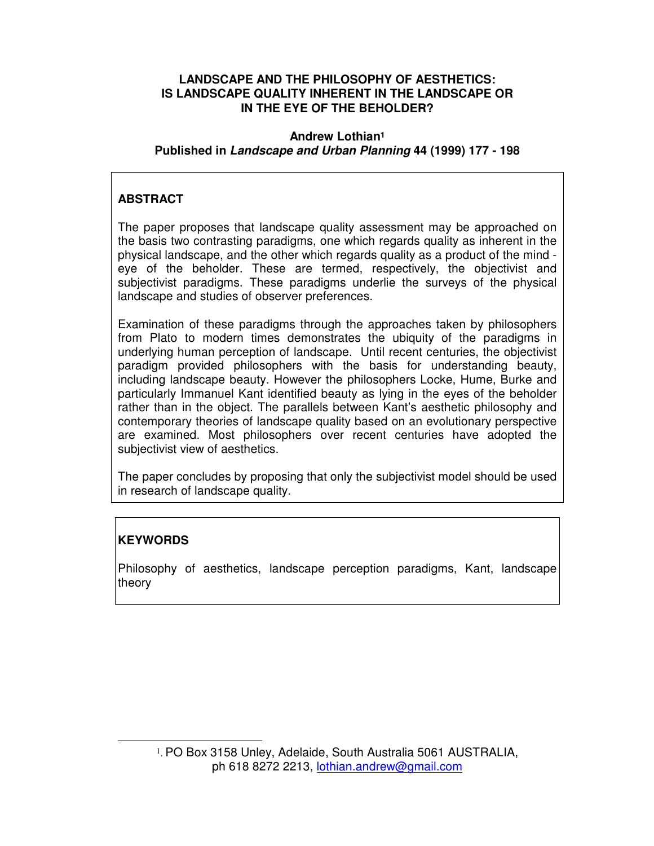# **LANDSCAPE AND THE PHILOSOPHY OF AESTHETICS: IS LANDSCAPE QUALITY INHERENT IN THE LANDSCAPE OR IN THE EYE OF THE BEHOLDER?**

# **Andrew Lothian<sup>1</sup> Published in Landscape and Urban Planning 44 (1999) 177 - 198**

# **ABSTRACT**

The paper proposes that landscape quality assessment may be approached on the basis two contrasting paradigms, one which regards quality as inherent in the physical landscape, and the other which regards quality as a product of the mind eye of the beholder. These are termed, respectively, the objectivist and subjectivist paradigms. These paradigms underlie the surveys of the physical landscape and studies of observer preferences.

Examination of these paradigms through the approaches taken by philosophers from Plato to modern times demonstrates the ubiquity of the paradigms in underlying human perception of landscape. Until recent centuries, the objectivist paradigm provided philosophers with the basis for understanding beauty, including landscape beauty. However the philosophers Locke, Hume, Burke and particularly Immanuel Kant identified beauty as lying in the eyes of the beholder rather than in the object. The parallels between Kant's aesthetic philosophy and contemporary theories of landscape quality based on an evolutionary perspective are examined. Most philosophers over recent centuries have adopted the subjectivist view of aesthetics.

The paper concludes by proposing that only the subjectivist model should be used in research of landscape quality.

# **KEYWORDS**

 $\overline{a}$ 

Philosophy of aesthetics, landscape perception paradigms, Kant, landscape theory

<sup>1</sup>. PO Box 3158 Unley, Adelaide, South Australia 5061 AUSTRALIA, ph 618 8272 2213, lothian.andrew@gmail.com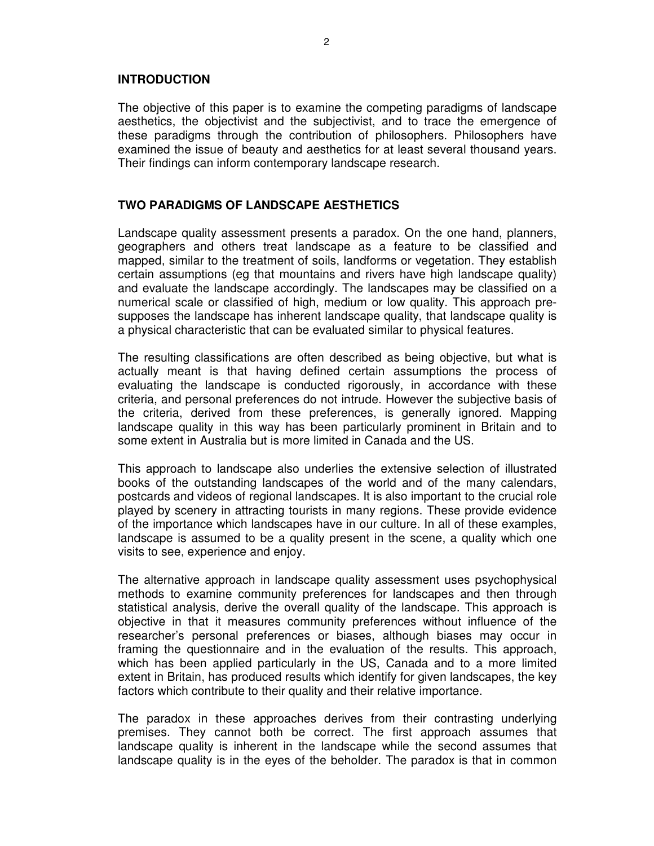## **INTRODUCTION**

The objective of this paper is to examine the competing paradigms of landscape aesthetics, the objectivist and the subjectivist, and to trace the emergence of these paradigms through the contribution of philosophers. Philosophers have examined the issue of beauty and aesthetics for at least several thousand years. Their findings can inform contemporary landscape research.

## **TWO PARADIGMS OF LANDSCAPE AESTHETICS**

Landscape quality assessment presents a paradox. On the one hand, planners, geographers and others treat landscape as a feature to be classified and mapped, similar to the treatment of soils, landforms or vegetation. They establish certain assumptions (eg that mountains and rivers have high landscape quality) and evaluate the landscape accordingly. The landscapes may be classified on a numerical scale or classified of high, medium or low quality. This approach presupposes the landscape has inherent landscape quality, that landscape quality is a physical characteristic that can be evaluated similar to physical features.

The resulting classifications are often described as being objective, but what is actually meant is that having defined certain assumptions the process of evaluating the landscape is conducted rigorously, in accordance with these criteria, and personal preferences do not intrude. However the subjective basis of the criteria, derived from these preferences, is generally ignored. Mapping landscape quality in this way has been particularly prominent in Britain and to some extent in Australia but is more limited in Canada and the US.

This approach to landscape also underlies the extensive selection of illustrated books of the outstanding landscapes of the world and of the many calendars, postcards and videos of regional landscapes. It is also important to the crucial role played by scenery in attracting tourists in many regions. These provide evidence of the importance which landscapes have in our culture. In all of these examples, landscape is assumed to be a quality present in the scene, a quality which one visits to see, experience and enjoy.

The alternative approach in landscape quality assessment uses psychophysical methods to examine community preferences for landscapes and then through statistical analysis, derive the overall quality of the landscape. This approach is objective in that it measures community preferences without influence of the researcher's personal preferences or biases, although biases may occur in framing the questionnaire and in the evaluation of the results. This approach, which has been applied particularly in the US, Canada and to a more limited extent in Britain, has produced results which identify for given landscapes, the key factors which contribute to their quality and their relative importance.

The paradox in these approaches derives from their contrasting underlying premises. They cannot both be correct. The first approach assumes that landscape quality is inherent in the landscape while the second assumes that landscape quality is in the eyes of the beholder. The paradox is that in common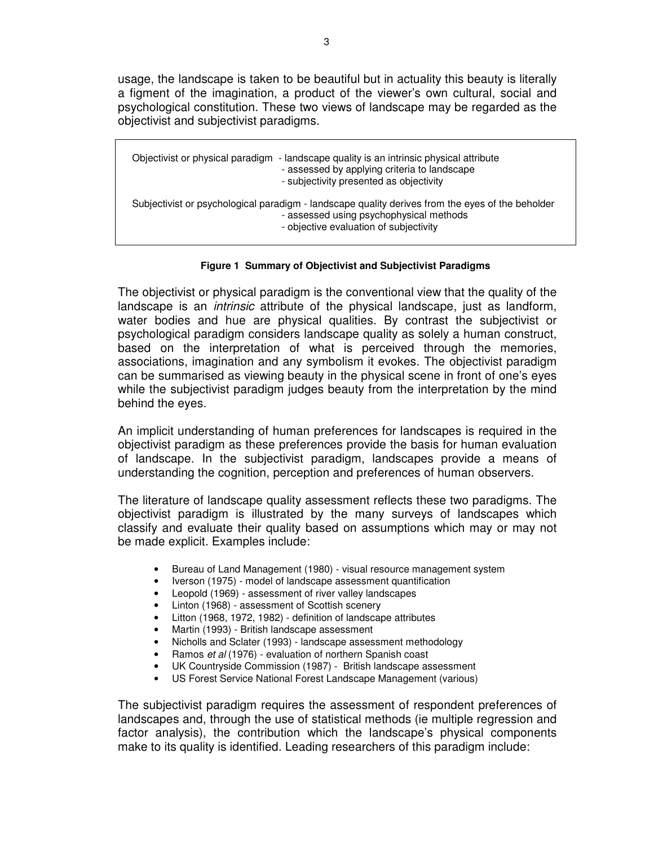usage, the landscape is taken to be beautiful but in actuality this beauty is literally a figment of the imagination, a product of the viewer's own cultural, social and psychological constitution. These two views of landscape may be regarded as the objectivist and subjectivist paradigms.

 Objectivist or physical paradigm - landscape quality is an intrinsic physical attribute - assessed by applying criteria to landscape - subjectivity presented as objectivity Subjectivist or psychological paradigm - landscape quality derives from the eyes of the beholder - assessed using psychophysical methods - objective evaluation of subjectivity

#### **Figure 1 Summary of Objectivist and Subjectivist Paradigms**

The objectivist or physical paradigm is the conventional view that the quality of the landscape is an *intrinsic* attribute of the physical landscape, just as landform, water bodies and hue are physical qualities. By contrast the subjectivist or psychological paradigm considers landscape quality as solely a human construct, based on the interpretation of what is perceived through the memories, associations, imagination and any symbolism it evokes. The objectivist paradigm can be summarised as viewing beauty in the physical scene in front of one's eyes while the subjectivist paradigm judges beauty from the interpretation by the mind behind the eyes.

An implicit understanding of human preferences for landscapes is required in the objectivist paradigm as these preferences provide the basis for human evaluation of landscape. In the subjectivist paradigm, landscapes provide a means of understanding the cognition, perception and preferences of human observers.

The literature of landscape quality assessment reflects these two paradigms. The objectivist paradigm is illustrated by the many surveys of landscapes which classify and evaluate their quality based on assumptions which may or may not be made explicit. Examples include:

- Bureau of Land Management (1980) visual resource management system
- Iverson (1975) model of landscape assessment quantification
- Leopold (1969) assessment of river valley landscapes
- Linton (1968) assessment of Scottish scenery
- Litton (1968, 1972, 1982) definition of landscape attributes
- Martin (1993) British landscape assessment
- Nicholls and Sclater (1993) landscape assessment methodology
- Ramos *et al* (1976) evaluation of northern Spanish coast
- UK Countryside Commission (1987) British landscape assessment
- US Forest Service National Forest Landscape Management (various)

The subjectivist paradigm requires the assessment of respondent preferences of landscapes and, through the use of statistical methods (ie multiple regression and factor analysis), the contribution which the landscape's physical components make to its quality is identified. Leading researchers of this paradigm include: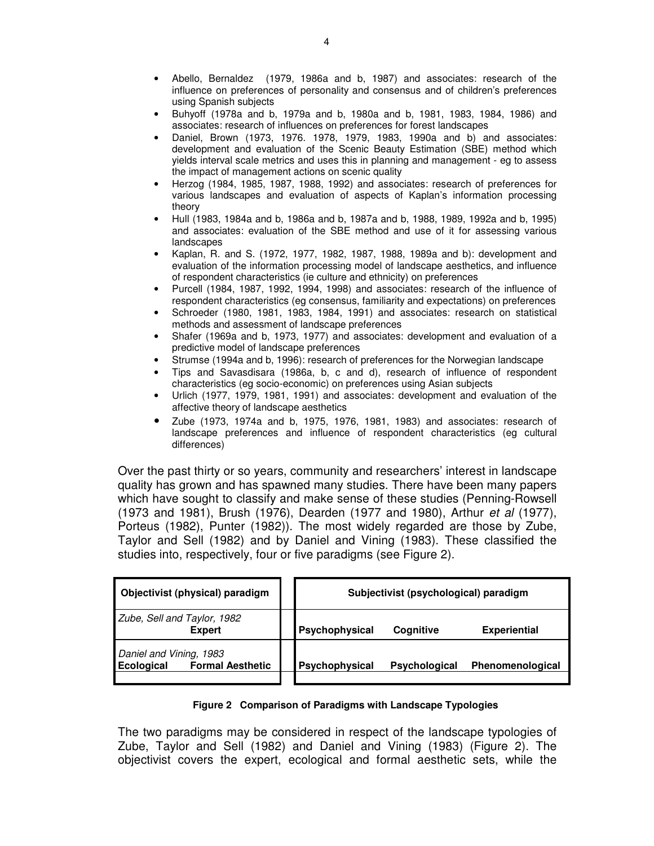- Abello, Bernaldez (1979, 1986a and b, 1987) and associates: research of the influence on preferences of personality and consensus and of children's preferences using Spanish subjects
- Buhyoff (1978a and b, 1979a and b, 1980a and b, 1981, 1983, 1984, 1986) and associates: research of influences on preferences for forest landscapes
- Daniel, Brown (1973, 1976. 1978, 1979, 1983, 1990a and b) and associates: development and evaluation of the Scenic Beauty Estimation (SBE) method which yields interval scale metrics and uses this in planning and management - eg to assess the impact of management actions on scenic quality
- Herzog (1984, 1985, 1987, 1988, 1992) and associates: research of preferences for various landscapes and evaluation of aspects of Kaplan's information processing theory
- Hull (1983, 1984a and b, 1986a and b, 1987a and b, 1988, 1989, 1992a and b, 1995) and associates: evaluation of the SBE method and use of it for assessing various landscapes
- Kaplan, R. and S. (1972, 1977, 1982, 1987, 1988, 1989a and b): development and evaluation of the information processing model of landscape aesthetics, and influence of respondent characteristics (ie culture and ethnicity) on preferences
- Purcell (1984, 1987, 1992, 1994, 1998) and associates: research of the influence of respondent characteristics (eg consensus, familiarity and expectations) on preferences
- Schroeder (1980, 1981, 1983, 1984, 1991) and associates: research on statistical methods and assessment of landscape preferences
- Shafer (1969a and b, 1973, 1977) and associates: development and evaluation of a predictive model of landscape preferences
- Strumse (1994a and b, 1996): research of preferences for the Norwegian landscape
- Tips and Savasdisara (1986a, b, c and d), research of influence of respondent characteristics (eg socio-economic) on preferences using Asian subjects
- Urlich (1977, 1979, 1981, 1991) and associates: development and evaluation of the affective theory of landscape aesthetics
- Zube (1973, 1974a and b, 1975, 1976, 1981, 1983) and associates: research of landscape preferences and influence of respondent characteristics (eg cultural differences)

Over the past thirty or so years, community and researchers' interest in landscape quality has grown and has spawned many studies. There have been many papers which have sought to classify and make sense of these studies (Penning-Rowsell (1973 and 1981), Brush (1976), Dearden (1977 and 1980), Arthur *et al* (1977), Porteus (1982), Punter (1982)). The most widely regarded are those by Zube, Taylor and Sell (1982) and by Daniel and Vining (1983). These classified the studies into, respectively, four or five paradigms (see Figure 2).

| Objectivist (physical) paradigm                                         | Subjectivist (psychological) paradigm |                      |                     |
|-------------------------------------------------------------------------|---------------------------------------|----------------------|---------------------|
| Zube, Sell and Taylor, 1982<br><b>Expert</b>                            | Psychophysical                        | Cognitive            | <b>Experiential</b> |
| Daniel and Vining, 1983<br><b>Formal Aesthetic</b><br><b>Ecological</b> | Psychophysical                        | <b>Psychological</b> | Phenomenological    |

## **Figure 2 Comparison of Paradigms with Landscape Typologies**

The two paradigms may be considered in respect of the landscape typologies of Zube, Taylor and Sell (1982) and Daniel and Vining (1983) (Figure 2). The objectivist covers the expert, ecological and formal aesthetic sets, while the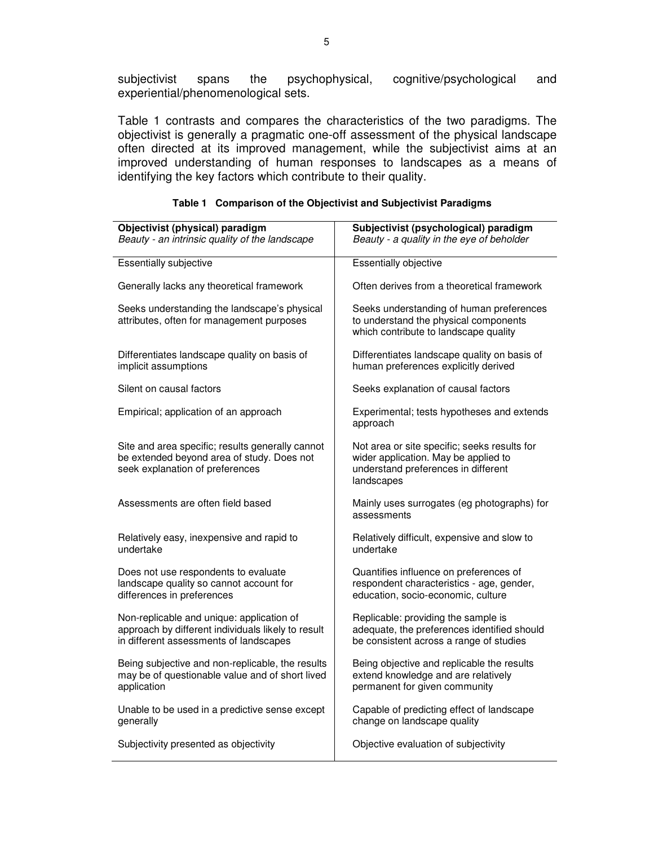subjectivist spans the psychophysical, cognitive/psychological and experiential/phenomenological sets.

Table 1 contrasts and compares the characteristics of the two paradigms. The objectivist is generally a pragmatic one-off assessment of the physical landscape often directed at its improved management, while the subjectivist aims at an improved understanding of human responses to landscapes as a means of identifying the key factors which contribute to their quality.

| Objectivist (physical) paradigm                                                                                                           | Subjectivist (psychological) paradigm                                                                                                     |  |  |
|-------------------------------------------------------------------------------------------------------------------------------------------|-------------------------------------------------------------------------------------------------------------------------------------------|--|--|
| Beauty - an intrinsic quality of the landscape                                                                                            | Beauty - a quality in the eye of beholder                                                                                                 |  |  |
|                                                                                                                                           |                                                                                                                                           |  |  |
| Essentially subjective                                                                                                                    | Essentially objective                                                                                                                     |  |  |
| Generally lacks any theoretical framework                                                                                                 | Often derives from a theoretical framework                                                                                                |  |  |
| Seeks understanding the landscape's physical<br>attributes, often for management purposes                                                 | Seeks understanding of human preferences<br>to understand the physical components<br>which contribute to landscape quality                |  |  |
| Differentiates landscape quality on basis of<br>implicit assumptions                                                                      | Differentiates landscape quality on basis of<br>human preferences explicitly derived                                                      |  |  |
| Silent on causal factors                                                                                                                  | Seeks explanation of causal factors                                                                                                       |  |  |
| Empirical; application of an approach                                                                                                     | Experimental; tests hypotheses and extends<br>approach                                                                                    |  |  |
| Site and area specific; results generally cannot<br>be extended beyond area of study. Does not<br>seek explanation of preferences         | Not area or site specific; seeks results for<br>wider application. May be applied to<br>understand preferences in different<br>landscapes |  |  |
| Assessments are often field based                                                                                                         | Mainly uses surrogates (eg photographs) for<br>assessments                                                                                |  |  |
| Relatively easy, inexpensive and rapid to<br>undertake                                                                                    | Relatively difficult, expensive and slow to<br>undertake                                                                                  |  |  |
| Does not use respondents to evaluate<br>landscape quality so cannot account for<br>differences in preferences                             | Quantifies influence on preferences of<br>respondent characteristics - age, gender,<br>education, socio-economic, culture                 |  |  |
| Non-replicable and unique: application of<br>approach by different individuals likely to result<br>in different assessments of landscapes | Replicable: providing the sample is<br>adequate, the preferences identified should<br>be consistent across a range of studies             |  |  |
| Being subjective and non-replicable, the results<br>may be of questionable value and of short lived<br>application                        | Being objective and replicable the results<br>extend knowledge and are relatively<br>permanent for given community                        |  |  |
| Unable to be used in a predictive sense except<br>generally                                                                               | Capable of predicting effect of landscape<br>change on landscape quality                                                                  |  |  |
| Subjectivity presented as objectivity                                                                                                     | Objective evaluation of subjectivity                                                                                                      |  |  |

|  |  |  | Table 1 Comparison of the Objectivist and Subjectivist Paradigms |  |
|--|--|--|------------------------------------------------------------------|--|
|--|--|--|------------------------------------------------------------------|--|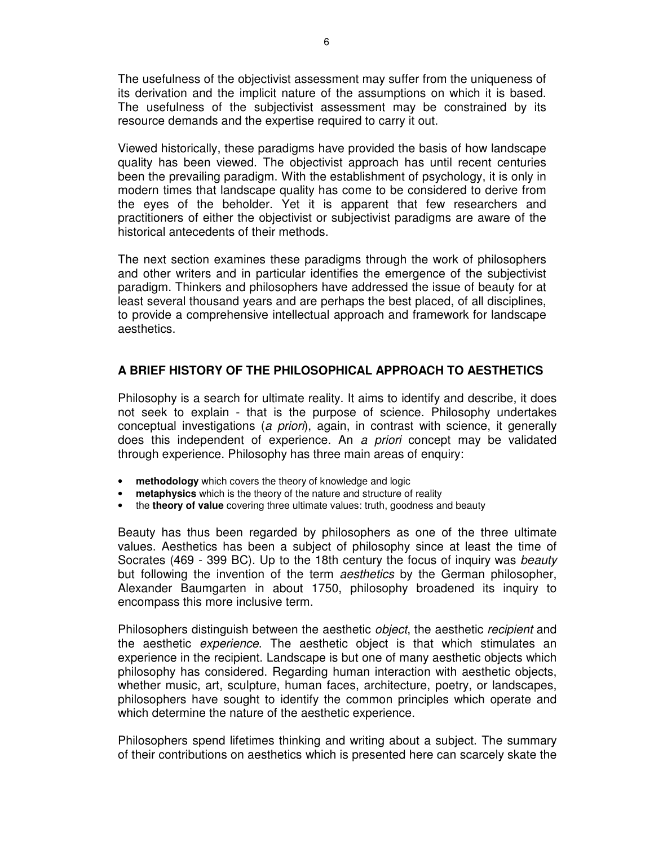The usefulness of the objectivist assessment may suffer from the uniqueness of its derivation and the implicit nature of the assumptions on which it is based. The usefulness of the subjectivist assessment may be constrained by its resource demands and the expertise required to carry it out.

Viewed historically, these paradigms have provided the basis of how landscape quality has been viewed. The objectivist approach has until recent centuries been the prevailing paradigm. With the establishment of psychology, it is only in modern times that landscape quality has come to be considered to derive from the eyes of the beholder. Yet it is apparent that few researchers and practitioners of either the objectivist or subjectivist paradigms are aware of the historical antecedents of their methods.

The next section examines these paradigms through the work of philosophers and other writers and in particular identifies the emergence of the subjectivist paradigm. Thinkers and philosophers have addressed the issue of beauty for at least several thousand years and are perhaps the best placed, of all disciplines, to provide a comprehensive intellectual approach and framework for landscape aesthetics.

## **A BRIEF HISTORY OF THE PHILOSOPHICAL APPROACH TO AESTHETICS**

Philosophy is a search for ultimate reality. It aims to identify and describe, it does not seek to explain - that is the purpose of science. Philosophy undertakes conceptual investigations (*a priori*), again, in contrast with science, it generally does this independent of experience. An *a priori* concept may be validated through experience. Philosophy has three main areas of enquiry:

- **methodology** which covers the theory of knowledge and logic
- **metaphysics** which is the theory of the nature and structure of reality
- the **theory of value** covering three ultimate values: truth, goodness and beauty

Beauty has thus been regarded by philosophers as one of the three ultimate values. Aesthetics has been a subject of philosophy since at least the time of Socrates (469 - 399 BC). Up to the 18th century the focus of inquiry was *beauty* but following the invention of the term *aesthetics* by the German philosopher, Alexander Baumgarten in about 1750, philosophy broadened its inquiry to encompass this more inclusive term.

Philosophers distinguish between the aesthetic *object*, the aesthetic *recipient* and the aesthetic *experience*. The aesthetic object is that which stimulates an experience in the recipient. Landscape is but one of many aesthetic objects which philosophy has considered. Regarding human interaction with aesthetic objects, whether music, art, sculpture, human faces, architecture, poetry, or landscapes, philosophers have sought to identify the common principles which operate and which determine the nature of the aesthetic experience.

Philosophers spend lifetimes thinking and writing about a subject. The summary of their contributions on aesthetics which is presented here can scarcely skate the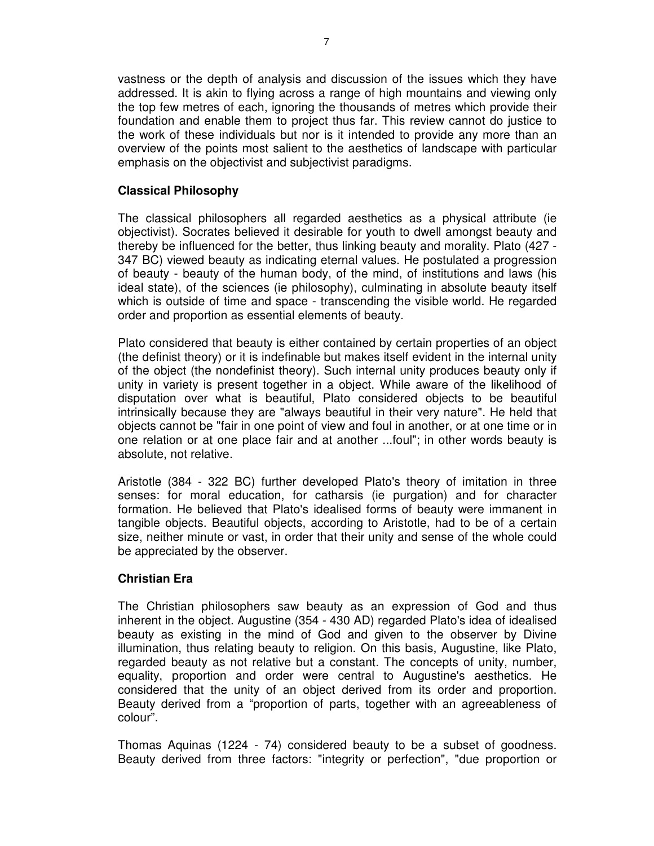vastness or the depth of analysis and discussion of the issues which they have addressed. It is akin to flying across a range of high mountains and viewing only the top few metres of each, ignoring the thousands of metres which provide their foundation and enable them to project thus far. This review cannot do justice to the work of these individuals but nor is it intended to provide any more than an overview of the points most salient to the aesthetics of landscape with particular emphasis on the objectivist and subjectivist paradigms.

# **Classical Philosophy**

The classical philosophers all regarded aesthetics as a physical attribute (ie objectivist). Socrates believed it desirable for youth to dwell amongst beauty and thereby be influenced for the better, thus linking beauty and morality. Plato (427 - 347 BC) viewed beauty as indicating eternal values. He postulated a progression of beauty - beauty of the human body, of the mind, of institutions and laws (his ideal state), of the sciences (ie philosophy), culminating in absolute beauty itself which is outside of time and space - transcending the visible world. He regarded order and proportion as essential elements of beauty.

Plato considered that beauty is either contained by certain properties of an object (the definist theory) or it is indefinable but makes itself evident in the internal unity of the object (the nondefinist theory). Such internal unity produces beauty only if unity in variety is present together in a object. While aware of the likelihood of disputation over what is beautiful, Plato considered objects to be beautiful intrinsically because they are "always beautiful in their very nature". He held that objects cannot be "fair in one point of view and foul in another, or at one time or in one relation or at one place fair and at another ...foul"; in other words beauty is absolute, not relative.

Aristotle (384 - 322 BC) further developed Plato's theory of imitation in three senses: for moral education, for catharsis (ie purgation) and for character formation. He believed that Plato's idealised forms of beauty were immanent in tangible objects. Beautiful objects, according to Aristotle, had to be of a certain size, neither minute or vast, in order that their unity and sense of the whole could be appreciated by the observer.

## **Christian Era**

The Christian philosophers saw beauty as an expression of God and thus inherent in the object. Augustine (354 - 430 AD) regarded Plato's idea of idealised beauty as existing in the mind of God and given to the observer by Divine illumination, thus relating beauty to religion. On this basis, Augustine, like Plato, regarded beauty as not relative but a constant. The concepts of unity, number, equality, proportion and order were central to Augustine's aesthetics. He considered that the unity of an object derived from its order and proportion. Beauty derived from a "proportion of parts, together with an agreeableness of colour".

Thomas Aquinas (1224 - 74) considered beauty to be a subset of goodness. Beauty derived from three factors: "integrity or perfection", "due proportion or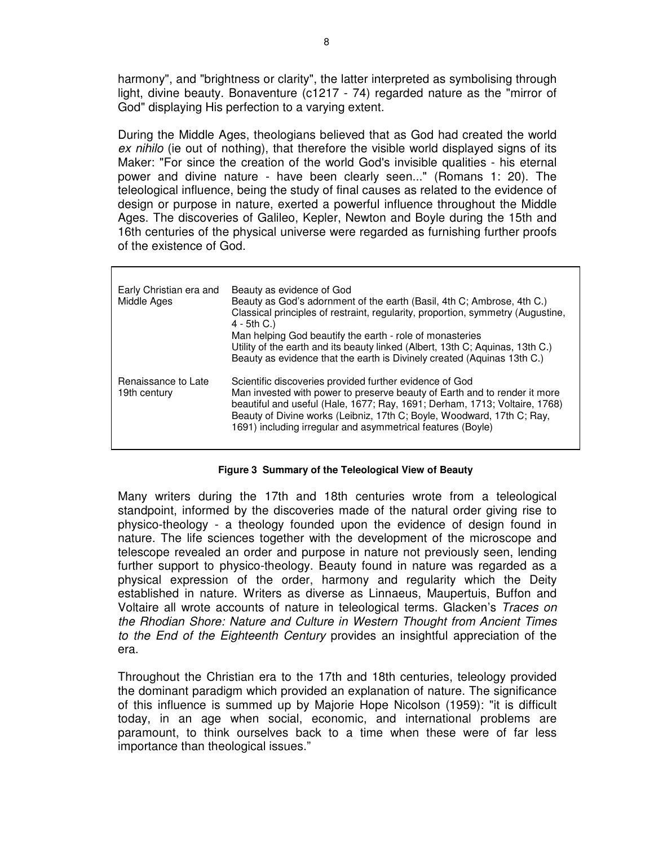harmony", and "brightness or clarity", the latter interpreted as symbolising through light, divine beauty. Bonaventure (c1217 - 74) regarded nature as the "mirror of God" displaying His perfection to a varying extent.

During the Middle Ages, theologians believed that as God had created the world *ex nihilo* (ie out of nothing), that therefore the visible world displayed signs of its Maker: "For since the creation of the world God's invisible qualities - his eternal power and divine nature - have been clearly seen..." (Romans 1: 20). The teleological influence, being the study of final causes as related to the evidence of design or purpose in nature, exerted a powerful influence throughout the Middle Ages. The discoveries of Galileo, Kepler, Newton and Boyle during the 15th and 16th centuries of the physical universe were regarded as furnishing further proofs of the existence of God.

| Early Christian era and<br>Middle Ages | Beauty as evidence of God<br>Beauty as God's adornment of the earth (Basil, 4th C; Ambrose, 4th C.)<br>Classical principles of restraint, regularity, proportion, symmetry (Augustine,<br>$4 - 5th C.$<br>Man helping God beautify the earth - role of monasteries<br>Utility of the earth and its beauty linked (Albert, 13th C; Aquinas, 13th C.)<br>Beauty as evidence that the earth is Divinely created (Aquinas 13th C.) |
|----------------------------------------|--------------------------------------------------------------------------------------------------------------------------------------------------------------------------------------------------------------------------------------------------------------------------------------------------------------------------------------------------------------------------------------------------------------------------------|
| Renaissance to Late<br>19th century    | Scientific discoveries provided further evidence of God<br>Man invested with power to preserve beauty of Earth and to render it more<br>beautiful and useful (Hale, 1677; Ray, 1691; Derham, 1713; Voltaire, 1768)<br>Beauty of Divine works (Leibniz, 17th C; Boyle, Woodward, 17th C; Ray,<br>1691) including irregular and asymmetrical features (Boyle)                                                                    |

## **Figure 3 Summary of the Teleological View of Beauty**

Many writers during the 17th and 18th centuries wrote from a teleological standpoint, informed by the discoveries made of the natural order giving rise to physico-theology - a theology founded upon the evidence of design found in nature. The life sciences together with the development of the microscope and telescope revealed an order and purpose in nature not previously seen, lending further support to physico-theology. Beauty found in nature was regarded as a physical expression of the order, harmony and regularity which the Deity established in nature. Writers as diverse as Linnaeus, Maupertuis, Buffon and Voltaire all wrote accounts of nature in teleological terms. Glacken's *Traces on the Rhodian Shore: Nature and Culture in Western Thought from Ancient Times to the End of the Eighteenth Century* provides an insightful appreciation of the era.

Throughout the Christian era to the 17th and 18th centuries, teleology provided the dominant paradigm which provided an explanation of nature. The significance of this influence is summed up by Majorie Hope Nicolson (1959): "it is difficult today, in an age when social, economic, and international problems are paramount, to think ourselves back to a time when these were of far less importance than theological issues."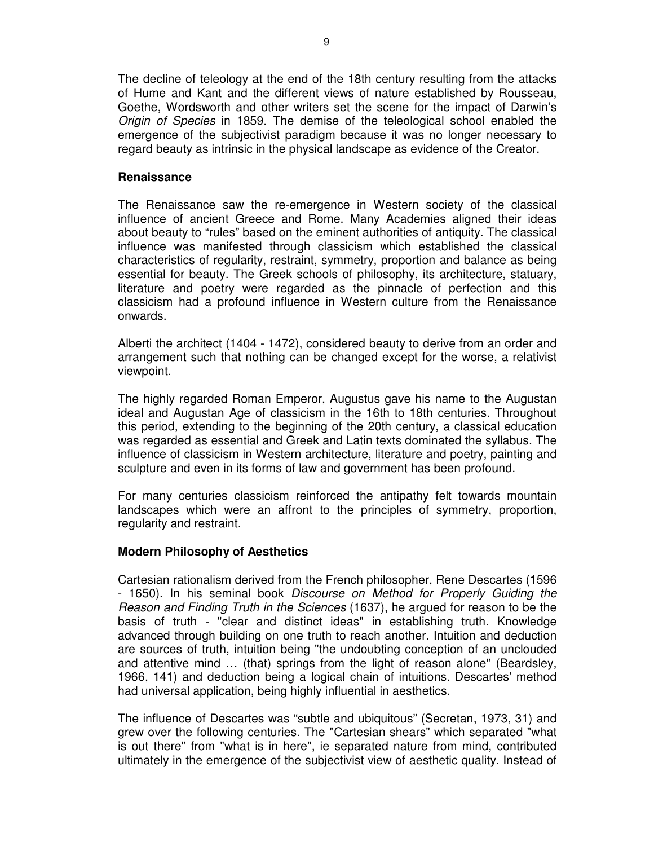The decline of teleology at the end of the 18th century resulting from the attacks of Hume and Kant and the different views of nature established by Rousseau, Goethe, Wordsworth and other writers set the scene for the impact of Darwin's *Origin of Species* in 1859. The demise of the teleological school enabled the emergence of the subjectivist paradigm because it was no longer necessary to regard beauty as intrinsic in the physical landscape as evidence of the Creator.

## **Renaissance**

The Renaissance saw the re-emergence in Western society of the classical influence of ancient Greece and Rome. Many Academies aligned their ideas about beauty to "rules" based on the eminent authorities of antiquity. The classical influence was manifested through classicism which established the classical characteristics of regularity, restraint, symmetry, proportion and balance as being essential for beauty. The Greek schools of philosophy, its architecture, statuary, literature and poetry were regarded as the pinnacle of perfection and this classicism had a profound influence in Western culture from the Renaissance onwards.

Alberti the architect (1404 - 1472), considered beauty to derive from an order and arrangement such that nothing can be changed except for the worse, a relativist viewpoint.

The highly regarded Roman Emperor, Augustus gave his name to the Augustan ideal and Augustan Age of classicism in the 16th to 18th centuries. Throughout this period, extending to the beginning of the 20th century, a classical education was regarded as essential and Greek and Latin texts dominated the syllabus. The influence of classicism in Western architecture, literature and poetry, painting and sculpture and even in its forms of law and government has been profound.

For many centuries classicism reinforced the antipathy felt towards mountain landscapes which were an affront to the principles of symmetry, proportion, regularity and restraint.

## **Modern Philosophy of Aesthetics**

Cartesian rationalism derived from the French philosopher, Rene Descartes (1596 - 1650). In his seminal book *Discourse on Method for Properly Guiding the Reason and Finding Truth in the Sciences* (1637), he argued for reason to be the basis of truth - "clear and distinct ideas" in establishing truth. Knowledge advanced through building on one truth to reach another. Intuition and deduction are sources of truth, intuition being "the undoubting conception of an unclouded and attentive mind … (that) springs from the light of reason alone" (Beardsley, 1966, 141) and deduction being a logical chain of intuitions. Descartes' method had universal application, being highly influential in aesthetics.

The influence of Descartes was "subtle and ubiquitous" (Secretan, 1973, 31) and grew over the following centuries. The "Cartesian shears" which separated "what is out there" from "what is in here", ie separated nature from mind, contributed ultimately in the emergence of the subjectivist view of aesthetic quality. Instead of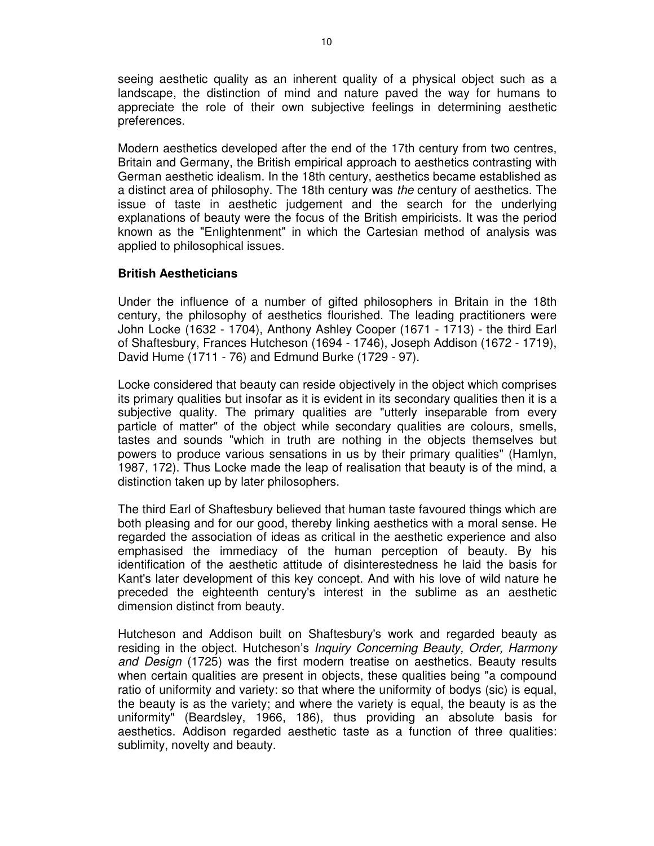seeing aesthetic quality as an inherent quality of a physical object such as a landscape, the distinction of mind and nature paved the way for humans to appreciate the role of their own subjective feelings in determining aesthetic preferences.

Modern aesthetics developed after the end of the 17th century from two centres, Britain and Germany, the British empirical approach to aesthetics contrasting with German aesthetic idealism. In the 18th century, aesthetics became established as a distinct area of philosophy. The 18th century was *the* century of aesthetics. The issue of taste in aesthetic judgement and the search for the underlying explanations of beauty were the focus of the British empiricists. It was the period known as the "Enlightenment" in which the Cartesian method of analysis was applied to philosophical issues.

## **British Aestheticians**

Under the influence of a number of gifted philosophers in Britain in the 18th century, the philosophy of aesthetics flourished. The leading practitioners were John Locke (1632 - 1704), Anthony Ashley Cooper (1671 - 1713) - the third Earl of Shaftesbury, Frances Hutcheson (1694 - 1746), Joseph Addison (1672 - 1719), David Hume (1711 - 76) and Edmund Burke (1729 - 97).

Locke considered that beauty can reside objectively in the object which comprises its primary qualities but insofar as it is evident in its secondary qualities then it is a subjective quality. The primary qualities are "utterly inseparable from every particle of matter" of the object while secondary qualities are colours, smells, tastes and sounds "which in truth are nothing in the objects themselves but powers to produce various sensations in us by their primary qualities" (Hamlyn, 1987, 172). Thus Locke made the leap of realisation that beauty is of the mind, a distinction taken up by later philosophers.

The third Earl of Shaftesbury believed that human taste favoured things which are both pleasing and for our good, thereby linking aesthetics with a moral sense. He regarded the association of ideas as critical in the aesthetic experience and also emphasised the immediacy of the human perception of beauty. By his identification of the aesthetic attitude of disinterestedness he laid the basis for Kant's later development of this key concept. And with his love of wild nature he preceded the eighteenth century's interest in the sublime as an aesthetic dimension distinct from beauty.

Hutcheson and Addison built on Shaftesbury's work and regarded beauty as residing in the object. Hutcheson's *Inquiry Concerning Beauty, Order, Harmony and Design* (1725) was the first modern treatise on aesthetics. Beauty results when certain qualities are present in objects, these qualities being "a compound ratio of uniformity and variety: so that where the uniformity of bodys (sic) is equal, the beauty is as the variety; and where the variety is equal, the beauty is as the uniformity" (Beardsley, 1966, 186), thus providing an absolute basis for aesthetics. Addison regarded aesthetic taste as a function of three qualities: sublimity, novelty and beauty.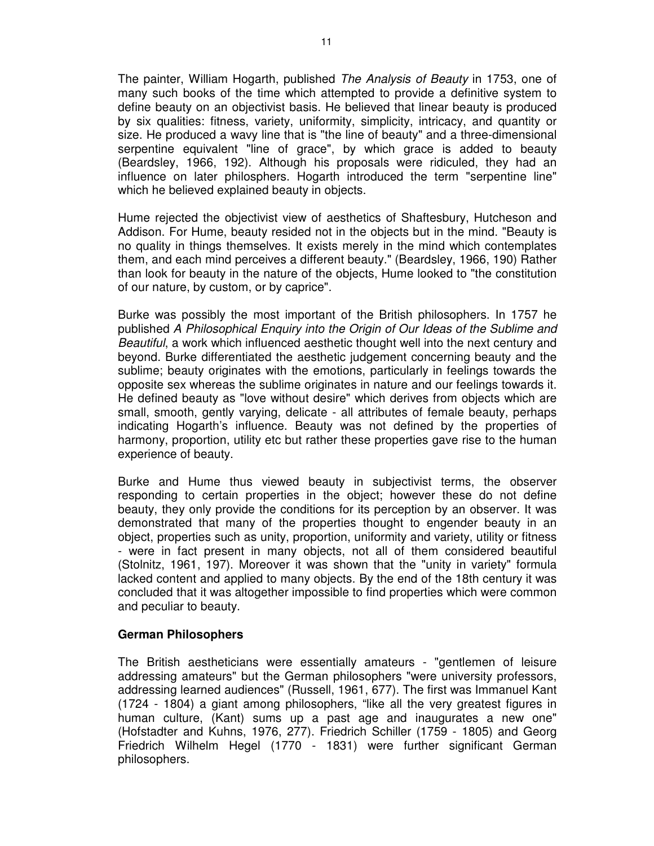The painter, William Hogarth, published *The Analysis of Beauty* in 1753, one of many such books of the time which attempted to provide a definitive system to define beauty on an objectivist basis. He believed that linear beauty is produced by six qualities: fitness, variety, uniformity, simplicity, intricacy, and quantity or size. He produced a wavy line that is "the line of beauty" and a three-dimensional serpentine equivalent "line of grace", by which grace is added to beauty (Beardsley, 1966, 192). Although his proposals were ridiculed, they had an influence on later philosphers. Hogarth introduced the term "serpentine line" which he believed explained beauty in objects.

Hume rejected the objectivist view of aesthetics of Shaftesbury, Hutcheson and Addison. For Hume, beauty resided not in the objects but in the mind. "Beauty is no quality in things themselves. It exists merely in the mind which contemplates them, and each mind perceives a different beauty." (Beardsley, 1966, 190) Rather than look for beauty in the nature of the objects, Hume looked to "the constitution of our nature, by custom, or by caprice".

Burke was possibly the most important of the British philosophers. In 1757 he published *A Philosophical Enquiry into the Origin of Our Ideas of the Sublime and Beautiful*, a work which influenced aesthetic thought well into the next century and beyond. Burke differentiated the aesthetic judgement concerning beauty and the sublime; beauty originates with the emotions, particularly in feelings towards the opposite sex whereas the sublime originates in nature and our feelings towards it. He defined beauty as "love without desire" which derives from objects which are small, smooth, gently varying, delicate - all attributes of female beauty, perhaps indicating Hogarth's influence. Beauty was not defined by the properties of harmony, proportion, utility etc but rather these properties gave rise to the human experience of beauty.

Burke and Hume thus viewed beauty in subjectivist terms, the observer responding to certain properties in the object; however these do not define beauty, they only provide the conditions for its perception by an observer. It was demonstrated that many of the properties thought to engender beauty in an object, properties such as unity, proportion, uniformity and variety, utility or fitness - were in fact present in many objects, not all of them considered beautiful (Stolnitz, 1961, 197). Moreover it was shown that the "unity in variety" formula lacked content and applied to many objects. By the end of the 18th century it was concluded that it was altogether impossible to find properties which were common and peculiar to beauty.

## **German Philosophers**

The British aestheticians were essentially amateurs - "gentlemen of leisure addressing amateurs" but the German philosophers "were university professors, addressing learned audiences" (Russell, 1961, 677). The first was Immanuel Kant (1724 - 1804) a giant among philosophers, "like all the very greatest figures in human culture, (Kant) sums up a past age and inaugurates a new one" (Hofstadter and Kuhns, 1976, 277). Friedrich Schiller (1759 - 1805) and Georg Friedrich Wilhelm Hegel (1770 - 1831) were further significant German philosophers.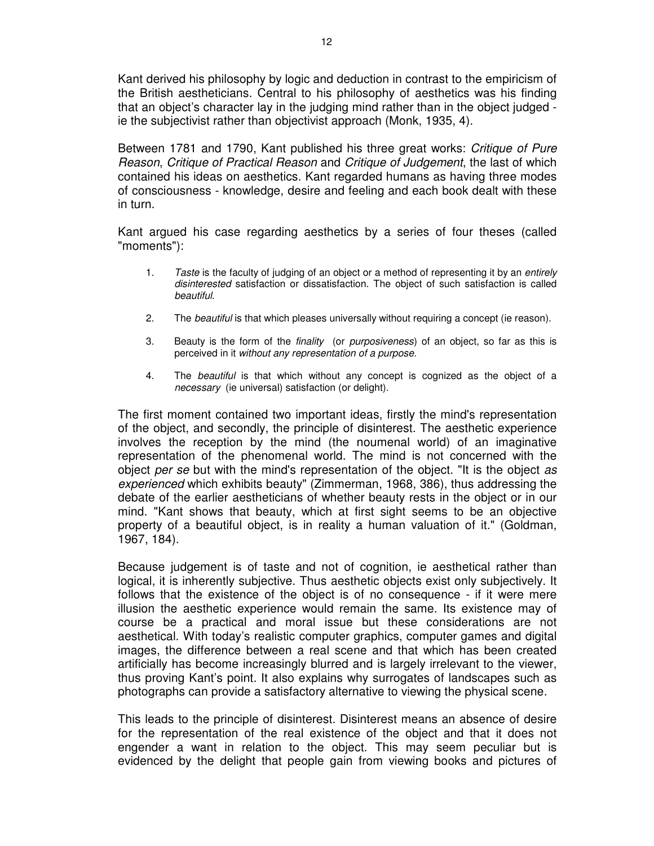Kant derived his philosophy by logic and deduction in contrast to the empiricism of the British aestheticians. Central to his philosophy of aesthetics was his finding that an object's character lay in the judging mind rather than in the object judged ie the subjectivist rather than objectivist approach (Monk, 1935, 4).

Between 1781 and 1790, Kant published his three great works: *Critique of Pure Reason*, *Critique of Practical Reason* and *Critique of Judgement*, the last of which contained his ideas on aesthetics. Kant regarded humans as having three modes of consciousness - knowledge, desire and feeling and each book dealt with these in turn.

Kant argued his case regarding aesthetics by a series of four theses (called "moments"):

- 1. *Taste* is the faculty of judging of an object or a method of representing it by an *entirely disinterested* satisfaction or dissatisfaction. The object of such satisfaction is called *beautiful.*
- 2. The *beautiful* is that which pleases universally without requiring a concept (ie reason).
- 3. Beauty is the form of the *finality* (or *purposiveness*) of an object, so far as this is perceived in it *without any representation of a purpose*.
- 4. The *beautiful* is that which without any concept is cognized as the object of a *necessary* (ie universal) satisfaction (or delight).

The first moment contained two important ideas, firstly the mind's representation of the object, and secondly, the principle of disinterest. The aesthetic experience involves the reception by the mind (the noumenal world) of an imaginative representation of the phenomenal world. The mind is not concerned with the object *per se* but with the mind's representation of the object. "It is the object *as experienced* which exhibits beauty" (Zimmerman, 1968, 386), thus addressing the debate of the earlier aestheticians of whether beauty rests in the object or in our mind. "Kant shows that beauty, which at first sight seems to be an objective property of a beautiful object, is in reality a human valuation of it." (Goldman, 1967, 184).

Because judgement is of taste and not of cognition, ie aesthetical rather than logical, it is inherently subjective. Thus aesthetic objects exist only subjectively. It follows that the existence of the object is of no consequence - if it were mere illusion the aesthetic experience would remain the same. Its existence may of course be a practical and moral issue but these considerations are not aesthetical. With today's realistic computer graphics, computer games and digital images, the difference between a real scene and that which has been created artificially has become increasingly blurred and is largely irrelevant to the viewer, thus proving Kant's point. It also explains why surrogates of landscapes such as photographs can provide a satisfactory alternative to viewing the physical scene.

This leads to the principle of disinterest. Disinterest means an absence of desire for the representation of the real existence of the object and that it does not engender a want in relation to the object. This may seem peculiar but is evidenced by the delight that people gain from viewing books and pictures of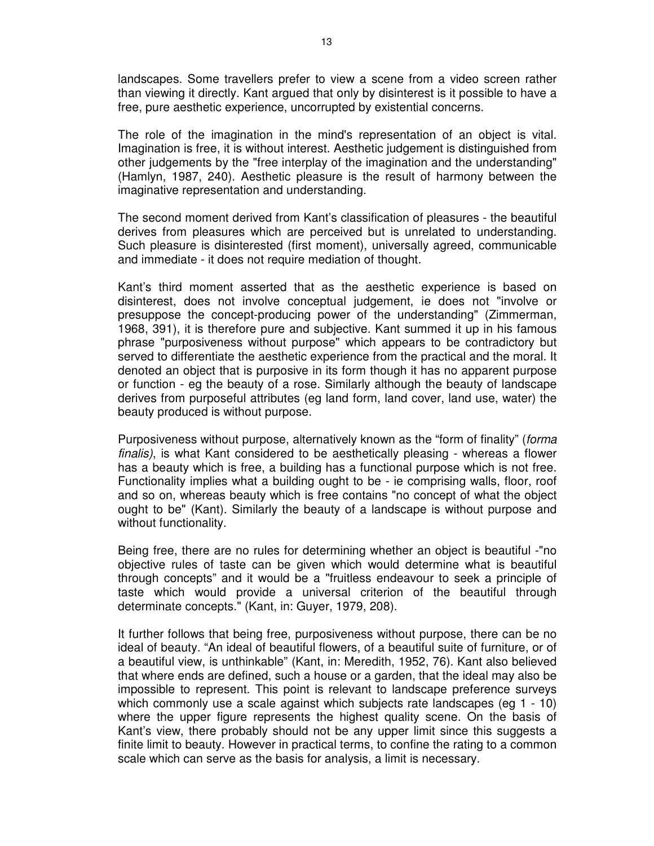landscapes. Some travellers prefer to view a scene from a video screen rather than viewing it directly. Kant argued that only by disinterest is it possible to have a free, pure aesthetic experience, uncorrupted by existential concerns.

The role of the imagination in the mind's representation of an object is vital. Imagination is free, it is without interest. Aesthetic judgement is distinguished from other judgements by the "free interplay of the imagination and the understanding" (Hamlyn, 1987, 240). Aesthetic pleasure is the result of harmony between the imaginative representation and understanding.

The second moment derived from Kant's classification of pleasures - the beautiful derives from pleasures which are perceived but is unrelated to understanding. Such pleasure is disinterested (first moment), universally agreed, communicable and immediate - it does not require mediation of thought.

Kant's third moment asserted that as the aesthetic experience is based on disinterest, does not involve conceptual judgement, ie does not "involve or presuppose the concept-producing power of the understanding" (Zimmerman, 1968, 391), it is therefore pure and subjective. Kant summed it up in his famous phrase "purposiveness without purpose" which appears to be contradictory but served to differentiate the aesthetic experience from the practical and the moral. It denoted an object that is purposive in its form though it has no apparent purpose or function - eg the beauty of a rose. Similarly although the beauty of landscape derives from purposeful attributes (eg land form, land cover, land use, water) the beauty produced is without purpose.

Purposiveness without purpose, alternatively known as the "form of finality" (*forma finalis)*, is what Kant considered to be aesthetically pleasing - whereas a flower has a beauty which is free, a building has a functional purpose which is not free. Functionality implies what a building ought to be - ie comprising walls, floor, roof and so on, whereas beauty which is free contains "no concept of what the object ought to be" (Kant). Similarly the beauty of a landscape is without purpose and without functionality.

Being free, there are no rules for determining whether an object is beautiful -"no objective rules of taste can be given which would determine what is beautiful through concepts" and it would be a "fruitless endeavour to seek a principle of taste which would provide a universal criterion of the beautiful through determinate concepts." (Kant, in: Guyer, 1979, 208).

It further follows that being free, purposiveness without purpose, there can be no ideal of beauty. "An ideal of beautiful flowers, of a beautiful suite of furniture, or of a beautiful view, is unthinkable" (Kant, in: Meredith, 1952, 76). Kant also believed that where ends are defined, such a house or a garden, that the ideal may also be impossible to represent. This point is relevant to landscape preference surveys which commonly use a scale against which subjects rate landscapes (eg 1 - 10) where the upper figure represents the highest quality scene. On the basis of Kant's view, there probably should not be any upper limit since this suggests a finite limit to beauty. However in practical terms, to confine the rating to a common scale which can serve as the basis for analysis, a limit is necessary.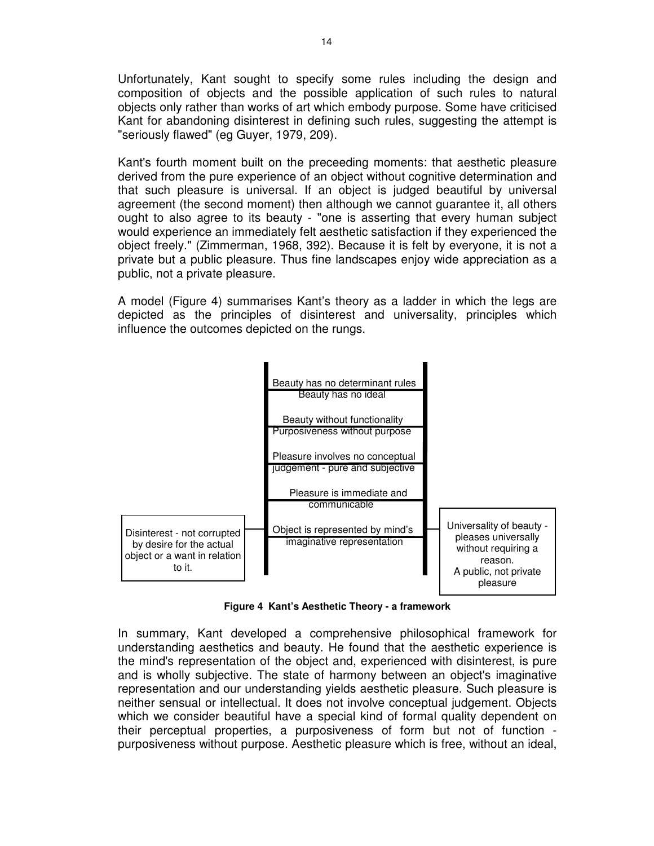Unfortunately, Kant sought to specify some rules including the design and composition of objects and the possible application of such rules to natural objects only rather than works of art which embody purpose. Some have criticised Kant for abandoning disinterest in defining such rules, suggesting the attempt is "seriously flawed" (eg Guyer, 1979, 209).

Kant's fourth moment built on the preceeding moments: that aesthetic pleasure derived from the pure experience of an object without cognitive determination and that such pleasure is universal. If an object is judged beautiful by universal agreement (the second moment) then although we cannot guarantee it, all others ought to also agree to its beauty - "one is asserting that every human subject would experience an immediately felt aesthetic satisfaction if they experienced the object freely." (Zimmerman, 1968, 392). Because it is felt by everyone, it is not a private but a public pleasure. Thus fine landscapes enjoy wide appreciation as a public, not a private pleasure.

A model (Figure 4) summarises Kant's theory as a ladder in which the legs are depicted as the principles of disinterest and universality, principles which influence the outcomes depicted on the rungs.



**Figure 4 Kant's Aesthetic Theory - a framework**

In summary, Kant developed a comprehensive philosophical framework for understanding aesthetics and beauty. He found that the aesthetic experience is the mind's representation of the object and, experienced with disinterest, is pure and is wholly subjective. The state of harmony between an object's imaginative representation and our understanding yields aesthetic pleasure. Such pleasure is neither sensual or intellectual. It does not involve conceptual judgement. Objects which we consider beautiful have a special kind of formal quality dependent on their perceptual properties, a purposiveness of form but not of function purposiveness without purpose. Aesthetic pleasure which is free, without an ideal,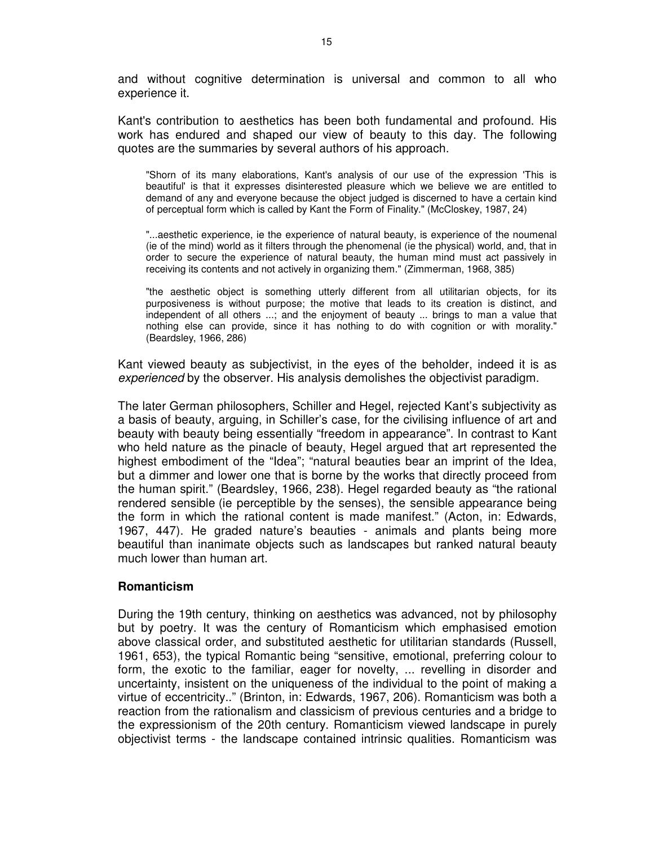and without cognitive determination is universal and common to all who experience it.

Kant's contribution to aesthetics has been both fundamental and profound. His work has endured and shaped our view of beauty to this day. The following quotes are the summaries by several authors of his approach.

"Shorn of its many elaborations, Kant's analysis of our use of the expression 'This is beautiful' is that it expresses disinterested pleasure which we believe we are entitled to demand of any and everyone because the object judged is discerned to have a certain kind of perceptual form which is called by Kant the Form of Finality." (McCloskey, 1987, 24)

"...aesthetic experience, ie the experience of natural beauty, is experience of the noumenal (ie of the mind) world as it filters through the phenomenal (ie the physical) world, and, that in order to secure the experience of natural beauty, the human mind must act passively in receiving its contents and not actively in organizing them." (Zimmerman, 1968, 385)

"the aesthetic object is something utterly different from all utilitarian objects, for its purposiveness is without purpose; the motive that leads to its creation is distinct, and independent of all others ...; and the enjoyment of beauty ... brings to man a value that nothing else can provide, since it has nothing to do with cognition or with morality." (Beardsley, 1966, 286)

Kant viewed beauty as subjectivist, in the eyes of the beholder, indeed it is as *experienced* by the observer. His analysis demolishes the objectivist paradigm.

The later German philosophers, Schiller and Hegel, rejected Kant's subjectivity as a basis of beauty, arguing, in Schiller's case, for the civilising influence of art and beauty with beauty being essentially "freedom in appearance". In contrast to Kant who held nature as the pinacle of beauty, Hegel argued that art represented the highest embodiment of the "Idea"; "natural beauties bear an imprint of the Idea, but a dimmer and lower one that is borne by the works that directly proceed from the human spirit." (Beardsley, 1966, 238). Hegel regarded beauty as "the rational rendered sensible (ie perceptible by the senses), the sensible appearance being the form in which the rational content is made manifest." (Acton, in: Edwards, 1967, 447). He graded nature's beauties - animals and plants being more beautiful than inanimate objects such as landscapes but ranked natural beauty much lower than human art.

## **Romanticism**

During the 19th century, thinking on aesthetics was advanced, not by philosophy but by poetry. It was the century of Romanticism which emphasised emotion above classical order, and substituted aesthetic for utilitarian standards (Russell, 1961, 653), the typical Romantic being "sensitive, emotional, preferring colour to form, the exotic to the familiar, eager for novelty, ... revelling in disorder and uncertainty, insistent on the uniqueness of the individual to the point of making a virtue of eccentricity.." (Brinton, in: Edwards, 1967, 206). Romanticism was both a reaction from the rationalism and classicism of previous centuries and a bridge to the expressionism of the 20th century. Romanticism viewed landscape in purely objectivist terms - the landscape contained intrinsic qualities. Romanticism was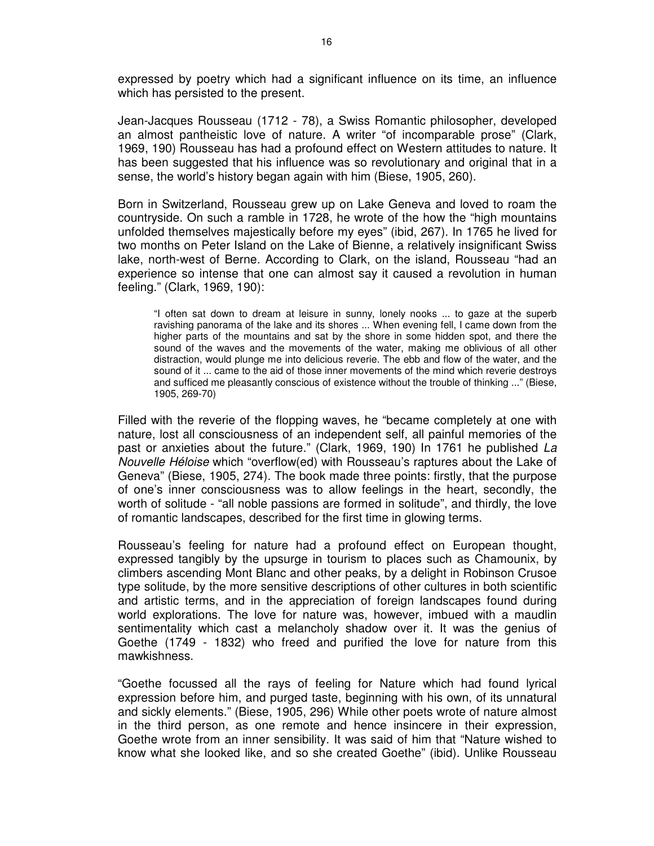expressed by poetry which had a significant influence on its time, an influence which has persisted to the present.

Jean-Jacques Rousseau (1712 - 78), a Swiss Romantic philosopher, developed an almost pantheistic love of nature. A writer "of incomparable prose" (Clark, 1969, 190) Rousseau has had a profound effect on Western attitudes to nature. It has been suggested that his influence was so revolutionary and original that in a sense, the world's history began again with him (Biese, 1905, 260).

Born in Switzerland, Rousseau grew up on Lake Geneva and loved to roam the countryside. On such a ramble in 1728, he wrote of the how the "high mountains unfolded themselves majestically before my eyes" (ibid, 267). In 1765 he lived for two months on Peter Island on the Lake of Bienne, a relatively insignificant Swiss lake, north-west of Berne. According to Clark, on the island, Rousseau "had an experience so intense that one can almost say it caused a revolution in human feeling." (Clark, 1969, 190):

"I often sat down to dream at leisure in sunny, lonely nooks ... to gaze at the superb ravishing panorama of the lake and its shores ... When evening fell, I came down from the higher parts of the mountains and sat by the shore in some hidden spot, and there the sound of the waves and the movements of the water, making me oblivious of all other distraction, would plunge me into delicious reverie. The ebb and flow of the water, and the sound of it ... came to the aid of those inner movements of the mind which reverie destroys and sufficed me pleasantly conscious of existence without the trouble of thinking ..." (Biese, 1905, 269-70)

Filled with the reverie of the flopping waves, he "became completely at one with nature, lost all consciousness of an independent self, all painful memories of the past or anxieties about the future." (Clark, 1969, 190) In 1761 he published *La Nouvelle Héloise* which "overflow(ed) with Rousseau's raptures about the Lake of Geneva" (Biese, 1905, 274). The book made three points: firstly, that the purpose of one's inner consciousness was to allow feelings in the heart, secondly, the worth of solitude - "all noble passions are formed in solitude", and thirdly, the love of romantic landscapes, described for the first time in glowing terms.

Rousseau's feeling for nature had a profound effect on European thought, expressed tangibly by the upsurge in tourism to places such as Chamounix, by climbers ascending Mont Blanc and other peaks, by a delight in Robinson Crusoe type solitude, by the more sensitive descriptions of other cultures in both scientific and artistic terms, and in the appreciation of foreign landscapes found during world explorations. The love for nature was, however, imbued with a maudlin sentimentality which cast a melancholy shadow over it. It was the genius of Goethe (1749 - 1832) who freed and purified the love for nature from this mawkishness.

"Goethe focussed all the rays of feeling for Nature which had found lyrical expression before him, and purged taste, beginning with his own, of its unnatural and sickly elements." (Biese, 1905, 296) While other poets wrote of nature almost in the third person, as one remote and hence insincere in their expression, Goethe wrote from an inner sensibility. It was said of him that "Nature wished to know what she looked like, and so she created Goethe" (ibid). Unlike Rousseau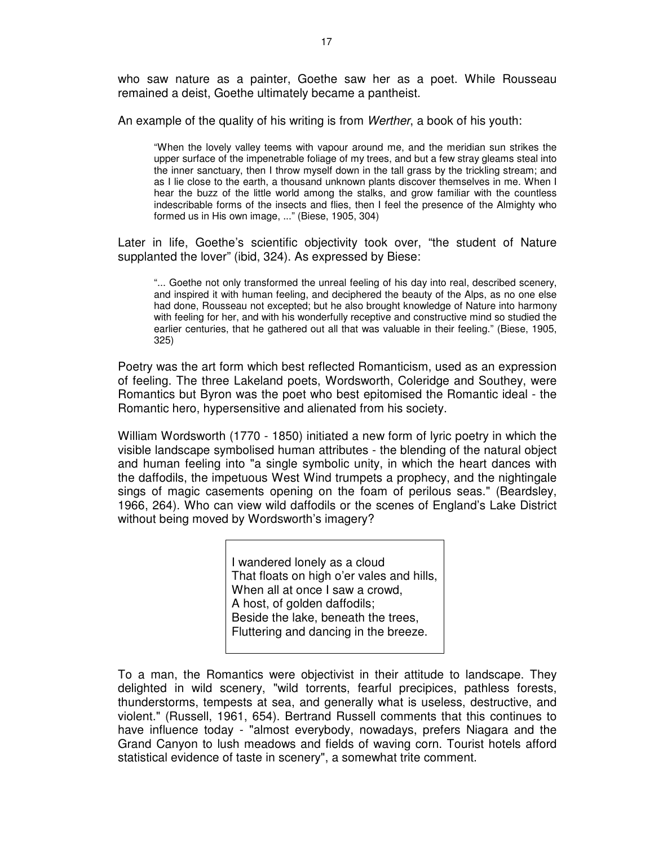who saw nature as a painter, Goethe saw her as a poet. While Rousseau remained a deist, Goethe ultimately became a pantheist.

An example of the quality of his writing is from *Werther*, a book of his youth:

"When the lovely valley teems with vapour around me, and the meridian sun strikes the upper surface of the impenetrable foliage of my trees, and but a few stray gleams steal into the inner sanctuary, then I throw myself down in the tall grass by the trickling stream; and as I lie close to the earth, a thousand unknown plants discover themselves in me. When I hear the buzz of the little world among the stalks, and grow familiar with the countless indescribable forms of the insects and flies, then I feel the presence of the Almighty who formed us in His own image, ..." (Biese, 1905, 304)

Later in life, Goethe's scientific objectivity took over, "the student of Nature supplanted the lover" (ibid, 324). As expressed by Biese:

"... Goethe not only transformed the unreal feeling of his day into real, described scenery, and inspired it with human feeling, and deciphered the beauty of the Alps, as no one else had done, Rousseau not excepted; but he also brought knowledge of Nature into harmony with feeling for her, and with his wonderfully receptive and constructive mind so studied the earlier centuries, that he gathered out all that was valuable in their feeling." (Biese, 1905, 325)

Poetry was the art form which best reflected Romanticism, used as an expression of feeling. The three Lakeland poets, Wordsworth, Coleridge and Southey, were Romantics but Byron was the poet who best epitomised the Romantic ideal - the Romantic hero, hypersensitive and alienated from his society.

William Wordsworth (1770 - 1850) initiated a new form of lyric poetry in which the visible landscape symbolised human attributes - the blending of the natural object and human feeling into "a single symbolic unity, in which the heart dances with the daffodils, the impetuous West Wind trumpets a prophecy, and the nightingale sings of magic casements opening on the foam of perilous seas." (Beardsley, 1966, 264). Who can view wild daffodils or the scenes of England's Lake District without being moved by Wordsworth's imagery?

> I wandered lonely as a cloud That floats on high o'er vales and hills, When all at once I saw a crowd, A host, of golden daffodils; Beside the lake, beneath the trees, Fluttering and dancing in the breeze.

To a man, the Romantics were objectivist in their attitude to landscape. They delighted in wild scenery, "wild torrents, fearful precipices, pathless forests, thunderstorms, tempests at sea, and generally what is useless, destructive, and violent." (Russell, 1961, 654). Bertrand Russell comments that this continues to have influence today - "almost everybody, nowadays, prefers Niagara and the Grand Canyon to lush meadows and fields of waving corn. Tourist hotels afford statistical evidence of taste in scenery", a somewhat trite comment.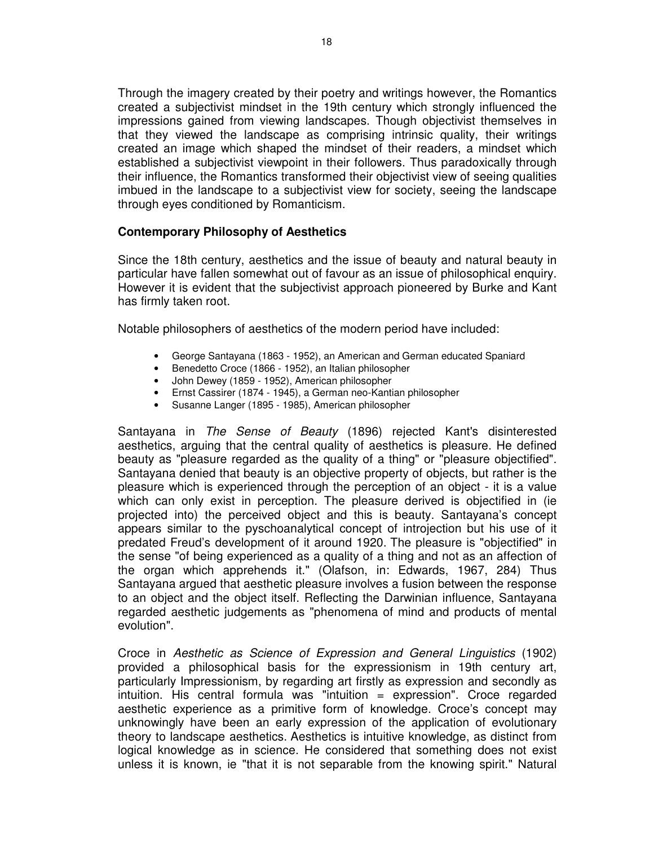Through the imagery created by their poetry and writings however, the Romantics created a subjectivist mindset in the 19th century which strongly influenced the impressions gained from viewing landscapes. Though objectivist themselves in that they viewed the landscape as comprising intrinsic quality, their writings created an image which shaped the mindset of their readers, a mindset which established a subjectivist viewpoint in their followers. Thus paradoxically through their influence, the Romantics transformed their objectivist view of seeing qualities imbued in the landscape to a subjectivist view for society, seeing the landscape through eyes conditioned by Romanticism.

## **Contemporary Philosophy of Aesthetics**

Since the 18th century, aesthetics and the issue of beauty and natural beauty in particular have fallen somewhat out of favour as an issue of philosophical enquiry. However it is evident that the subjectivist approach pioneered by Burke and Kant has firmly taken root.

Notable philosophers of aesthetics of the modern period have included:

- George Santayana (1863 1952), an American and German educated Spaniard
- Benedetto Croce (1866 1952), an Italian philosopher
- John Dewey (1859 1952), American philosopher
- Ernst Cassirer (1874 1945), a German neo-Kantian philosopher
- Susanne Langer (1895 1985), American philosopher

Santayana in *The Sense of Beauty* (1896) rejected Kant's disinterested aesthetics, arguing that the central quality of aesthetics is pleasure. He defined beauty as "pleasure regarded as the quality of a thing" or "pleasure objectified". Santayana denied that beauty is an objective property of objects, but rather is the pleasure which is experienced through the perception of an object - it is a value which can only exist in perception. The pleasure derived is objectified in (ie projected into) the perceived object and this is beauty. Santayana's concept appears similar to the pyschoanalytical concept of introjection but his use of it predated Freud's development of it around 1920. The pleasure is "objectified" in the sense "of being experienced as a quality of a thing and not as an affection of the organ which apprehends it." (Olafson, in: Edwards, 1967, 284) Thus Santayana argued that aesthetic pleasure involves a fusion between the response to an object and the object itself. Reflecting the Darwinian influence, Santayana regarded aesthetic judgements as "phenomena of mind and products of mental evolution".

Croce in *Aesthetic as Science of Expression and General Linguistics* (1902) provided a philosophical basis for the expressionism in 19th century art, particularly Impressionism, by regarding art firstly as expression and secondly as intuition. His central formula was "intuition = expression". Croce regarded aesthetic experience as a primitive form of knowledge. Croce's concept may unknowingly have been an early expression of the application of evolutionary theory to landscape aesthetics. Aesthetics is intuitive knowledge, as distinct from logical knowledge as in science. He considered that something does not exist unless it is known, ie "that it is not separable from the knowing spirit." Natural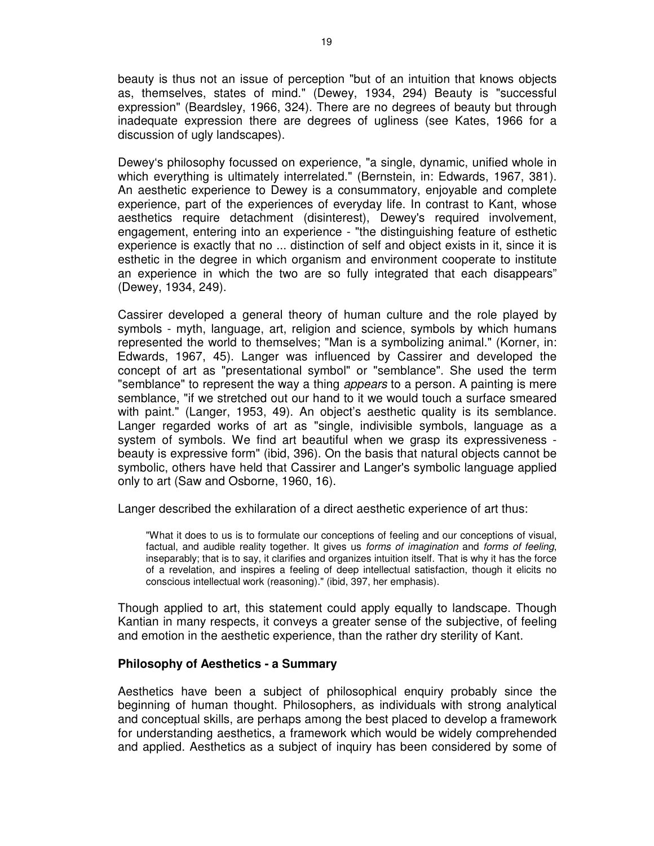beauty is thus not an issue of perception "but of an intuition that knows objects as, themselves, states of mind." (Dewey, 1934, 294) Beauty is "successful expression" (Beardsley, 1966, 324). There are no degrees of beauty but through inadequate expression there are degrees of ugliness (see Kates, 1966 for a discussion of ugly landscapes).

Dewey's philosophy focussed on experience, "a single, dynamic, unified whole in which everything is ultimately interrelated." (Bernstein, in: Edwards, 1967, 381). An aesthetic experience to Dewey is a consummatory, enjoyable and complete experience, part of the experiences of everyday life. In contrast to Kant, whose aesthetics require detachment (disinterest), Dewey's required involvement, engagement, entering into an experience - "the distinguishing feature of esthetic experience is exactly that no ... distinction of self and object exists in it, since it is esthetic in the degree in which organism and environment cooperate to institute an experience in which the two are so fully integrated that each disappears" (Dewey, 1934, 249).

Cassirer developed a general theory of human culture and the role played by symbols - myth, language, art, religion and science, symbols by which humans represented the world to themselves; "Man is a symbolizing animal." (Korner, in: Edwards, 1967, 45). Langer was influenced by Cassirer and developed the concept of art as "presentational symbol" or "semblance". She used the term "semblance" to represent the way a thing *appears* to a person. A painting is mere semblance, "if we stretched out our hand to it we would touch a surface smeared with paint." (Langer, 1953, 49). An object's aesthetic quality is its semblance. Langer regarded works of art as "single, indivisible symbols, language as a system of symbols. We find art beautiful when we grasp its expressiveness beauty is expressive form" (ibid, 396). On the basis that natural objects cannot be symbolic, others have held that Cassirer and Langer's symbolic language applied only to art (Saw and Osborne, 1960, 16).

Langer described the exhilaration of a direct aesthetic experience of art thus:

"What it does to us is to formulate our conceptions of feeling and our conceptions of visual, factual, and audible reality together. It gives us *forms of imagination* and *forms of feeling*, inseparably; that is to say, it clarifies and organizes intuition itself. That is why it has the force of a revelation, and inspires a feeling of deep intellectual satisfaction, though it elicits no conscious intellectual work (reasoning)." (ibid, 397, her emphasis).

Though applied to art, this statement could apply equally to landscape. Though Kantian in many respects, it conveys a greater sense of the subjective, of feeling and emotion in the aesthetic experience, than the rather dry sterility of Kant.

## **Philosophy of Aesthetics - a Summary**

Aesthetics have been a subject of philosophical enquiry probably since the beginning of human thought. Philosophers, as individuals with strong analytical and conceptual skills, are perhaps among the best placed to develop a framework for understanding aesthetics, a framework which would be widely comprehended and applied. Aesthetics as a subject of inquiry has been considered by some of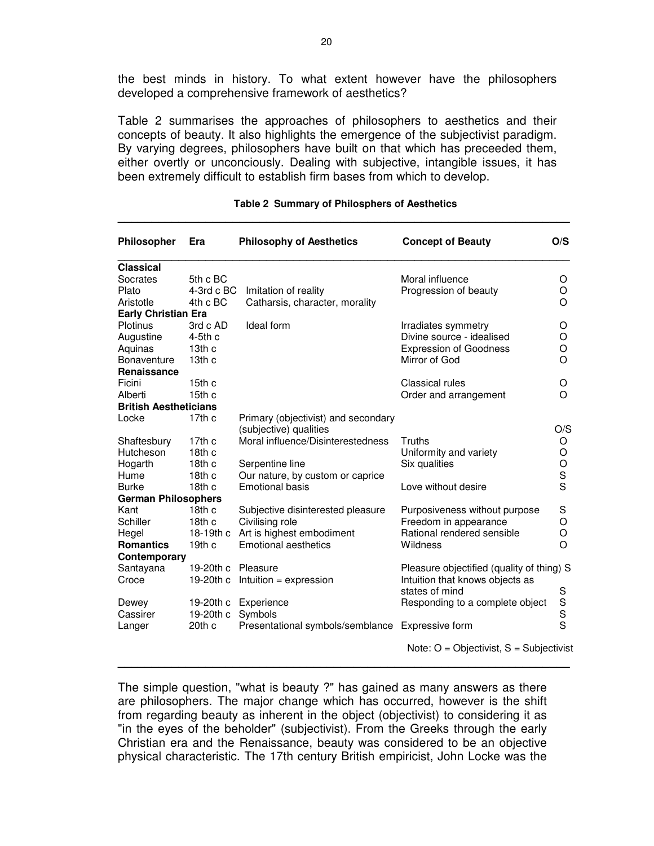the best minds in history. To what extent however have the philosophers developed a comprehensive framework of aesthetics?

Table 2 summarises the approaches of philosophers to aesthetics and their concepts of beauty. It also highlights the emergence of the subjectivist paradigm. By varying degrees, philosophers have built on that which has preceeded them, either overtly or unconciously. Dealing with subjective, intangible issues, it has been extremely difficult to establish firm bases from which to develop.

| Philosopher                  | Era               | <b>Philosophy of Aesthetics</b>                               | <b>Concept of Beauty</b>                     | O/S            |
|------------------------------|-------------------|---------------------------------------------------------------|----------------------------------------------|----------------|
| <b>Classical</b>             |                   |                                                               |                                              |                |
| Socrates                     | 5th c BC          |                                                               | Moral influence                              | O              |
| Plato                        | 4-3rd c BC        | Imitation of reality                                          | Progression of beauty                        | O              |
| Aristotle                    | 4th c BC          | Catharsis, character, morality                                |                                              | O              |
| <b>Early Christian Era</b>   |                   |                                                               |                                              |                |
| Plotinus                     | 3rd c AD          | Ideal form                                                    | Irradiates symmetry                          | O              |
| Augustine                    | $4-5th$ c         |                                                               | Divine source - idealised                    | O              |
| Aquinas                      | 13th c            |                                                               | <b>Expression of Goodness</b>                | O              |
| Bonaventure                  | 13th c            |                                                               | Mirror of God                                | O              |
| Renaissance                  |                   |                                                               |                                              |                |
| Ficini                       | 15th <sub>c</sub> |                                                               | Classical rules                              | O              |
| Alberti                      | 15th c            |                                                               | Order and arrangement                        | O              |
| <b>British Aestheticians</b> |                   |                                                               |                                              |                |
| Locke                        | 17th <sub>c</sub> | Primary (objectivist) and secondary<br>(subjective) qualities |                                              | O/S            |
| Shaftesbury                  | 17th c            | Moral influence/Disinterestedness                             | Truths                                       | O              |
| Hutcheson                    | 18th <sub>c</sub> |                                                               | Uniformity and variety                       | $\circ$        |
| Hogarth                      | 18th c            | Serpentine line                                               | Six qualities                                | $\circ$        |
| Hume                         | 18th <sub>c</sub> | Our nature, by custom or caprice                              |                                              | s<br>s         |
| <b>Burke</b>                 | 18th c            | <b>Emotional basis</b>                                        | Love without desire                          |                |
| <b>German Philosophers</b>   |                   |                                                               |                                              |                |
| Kant                         | 18th <sub>c</sub> | Subjective disinterested pleasure                             | Purposiveness without purpose                | S              |
| Schiller                     | 18th <sub>c</sub> | Civilising role                                               | Freedom in appearance                        | O              |
| Hegel                        | 18-19th c         | Art is highest embodiment                                     | Rational rendered sensible                   | $\circ$        |
| <b>Romantics</b>             | 19th <sub>c</sub> | <b>Emotional aesthetics</b>                                   | Wildness                                     | $\overline{O}$ |
| Contemporary                 |                   |                                                               |                                              |                |
| Santayana                    | 19-20th c         | Pleasure                                                      | Pleasure objectified (quality of thing) S    |                |
| Croce                        | 19-20th c         | Intuition = expression                                        | Intuition that knows objects as              |                |
|                              |                   |                                                               | states of mind                               | S              |
| Dewey                        |                   | 19-20th c Experience                                          | Responding to a complete object              | S              |
| Cassirer                     | 19-20th c         | Symbols                                                       |                                              | $\frac{1}{S}$  |
| Langer                       | 20th c            | Presentational symbols/semblance Expressive form              |                                              |                |
|                              |                   |                                                               | Note: $O = Objectivist$ , $S = Subjectivist$ |                |

#### **Table 2 Summary of Philosphers of Aesthetics**

The simple question, "what is beauty ?" has gained as many answers as there are philosophers. The major change which has occurred, however is the shift from regarding beauty as inherent in the object (objectivist) to considering it as "in the eyes of the beholder" (subjectivist). From the Greeks through the early Christian era and the Renaissance, beauty was considered to be an objective physical characteristic. The 17th century British empiricist, John Locke was the

**\_\_\_\_\_\_\_\_\_\_\_\_\_\_\_\_\_\_\_\_\_\_\_\_\_\_\_\_\_\_\_\_\_\_\_\_\_\_\_\_\_\_\_\_\_\_\_\_\_\_\_\_\_\_\_\_\_\_\_\_\_\_\_\_\_\_\_**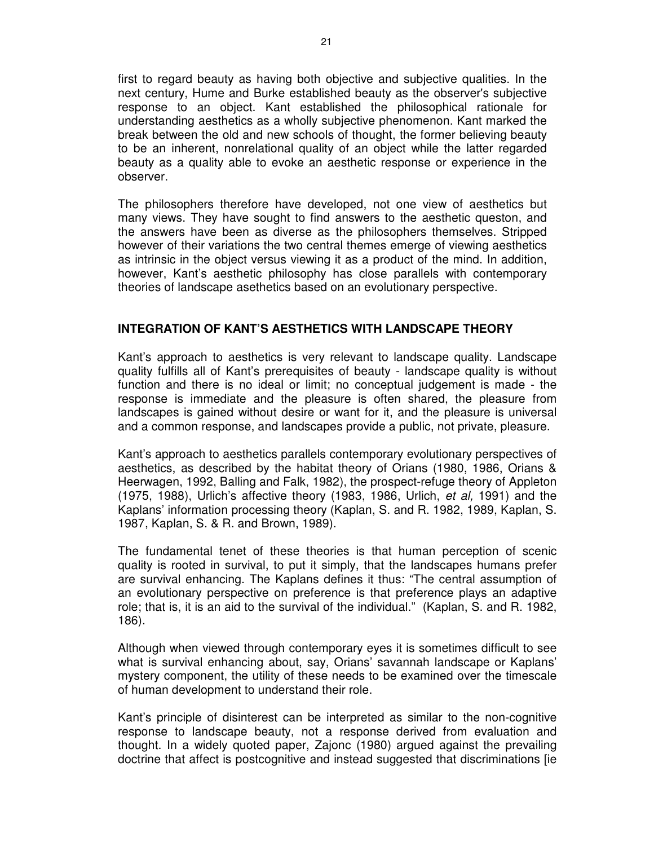first to regard beauty as having both objective and subjective qualities. In the next century, Hume and Burke established beauty as the observer's subjective response to an object. Kant established the philosophical rationale for understanding aesthetics as a wholly subjective phenomenon. Kant marked the break between the old and new schools of thought, the former believing beauty to be an inherent, nonrelational quality of an object while the latter regarded beauty as a quality able to evoke an aesthetic response or experience in the observer.

The philosophers therefore have developed, not one view of aesthetics but many views. They have sought to find answers to the aesthetic queston, and the answers have been as diverse as the philosophers themselves. Stripped however of their variations the two central themes emerge of viewing aesthetics as intrinsic in the object versus viewing it as a product of the mind. In addition, however, Kant's aesthetic philosophy has close parallels with contemporary theories of landscape asethetics based on an evolutionary perspective.

## **INTEGRATION OF KANT'S AESTHETICS WITH LANDSCAPE THEORY**

Kant's approach to aesthetics is very relevant to landscape quality. Landscape quality fulfills all of Kant's prerequisites of beauty - landscape quality is without function and there is no ideal or limit; no conceptual judgement is made - the response is immediate and the pleasure is often shared, the pleasure from landscapes is gained without desire or want for it, and the pleasure is universal and a common response, and landscapes provide a public, not private, pleasure.

Kant's approach to aesthetics parallels contemporary evolutionary perspectives of aesthetics, as described by the habitat theory of Orians (1980, 1986, Orians & Heerwagen, 1992, Balling and Falk, 1982), the prospect-refuge theory of Appleton (1975, 1988), Urlich's affective theory (1983, 1986, Urlich, *et al,* 1991) and the Kaplans' information processing theory (Kaplan, S. and R. 1982, 1989, Kaplan, S. 1987, Kaplan, S. & R. and Brown, 1989).

The fundamental tenet of these theories is that human perception of scenic quality is rooted in survival, to put it simply, that the landscapes humans prefer are survival enhancing. The Kaplans defines it thus: "The central assumption of an evolutionary perspective on preference is that preference plays an adaptive role; that is, it is an aid to the survival of the individual." (Kaplan, S. and R. 1982, 186).

Although when viewed through contemporary eyes it is sometimes difficult to see what is survival enhancing about, say, Orians' savannah landscape or Kaplans' mystery component, the utility of these needs to be examined over the timescale of human development to understand their role.

Kant's principle of disinterest can be interpreted as similar to the non-cognitive response to landscape beauty, not a response derived from evaluation and thought. In a widely quoted paper, Zajonc (1980) argued against the prevailing doctrine that affect is postcognitive and instead suggested that discriminations [ie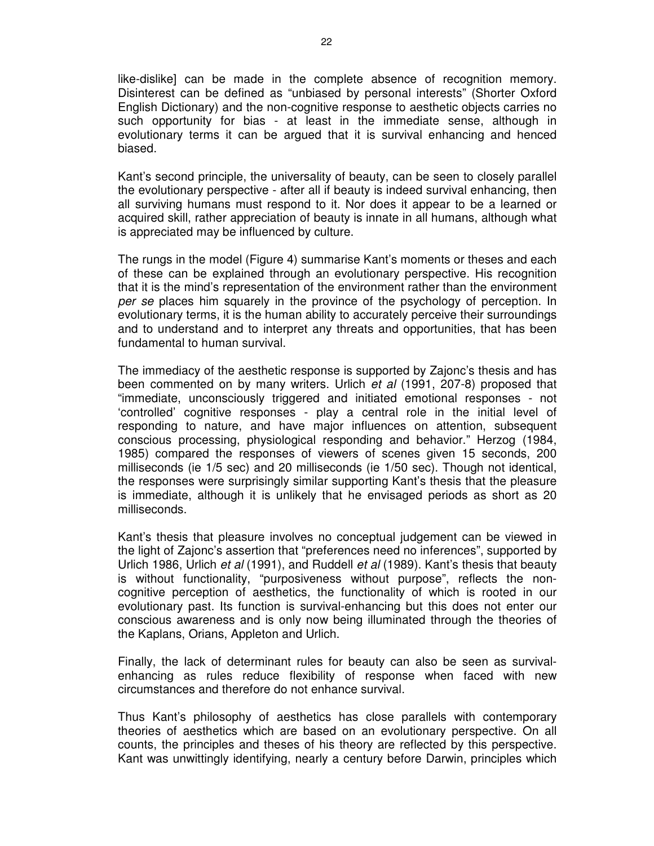like-dislike] can be made in the complete absence of recognition memory. Disinterest can be defined as "unbiased by personal interests" (Shorter Oxford English Dictionary) and the non-cognitive response to aesthetic objects carries no such opportunity for bias - at least in the immediate sense, although in evolutionary terms it can be argued that it is survival enhancing and henced biased.

Kant's second principle, the universality of beauty, can be seen to closely parallel the evolutionary perspective - after all if beauty is indeed survival enhancing, then all surviving humans must respond to it. Nor does it appear to be a learned or acquired skill, rather appreciation of beauty is innate in all humans, although what is appreciated may be influenced by culture.

The rungs in the model (Figure 4) summarise Kant's moments or theses and each of these can be explained through an evolutionary perspective. His recognition that it is the mind's representation of the environment rather than the environment *per se* places him squarely in the province of the psychology of perception. In evolutionary terms, it is the human ability to accurately perceive their surroundings and to understand and to interpret any threats and opportunities, that has been fundamental to human survival.

The immediacy of the aesthetic response is supported by Zajonc's thesis and has been commented on by many writers. Urlich *et al* (1991, 207-8) proposed that "immediate, unconsciously triggered and initiated emotional responses - not 'controlled' cognitive responses - play a central role in the initial level of responding to nature, and have major influences on attention, subsequent conscious processing, physiological responding and behavior." Herzog (1984, 1985) compared the responses of viewers of scenes given 15 seconds, 200 milliseconds (ie 1/5 sec) and 20 milliseconds (ie 1/50 sec). Though not identical, the responses were surprisingly similar supporting Kant's thesis that the pleasure is immediate, although it is unlikely that he envisaged periods as short as 20 milliseconds.

Kant's thesis that pleasure involves no conceptual judgement can be viewed in the light of Zajonc's assertion that "preferences need no inferences", supported by Urlich 1986, Urlich *et al* (1991), and Ruddell *et al* (1989). Kant's thesis that beauty is without functionality, "purposiveness without purpose", reflects the noncognitive perception of aesthetics, the functionality of which is rooted in our evolutionary past. Its function is survival-enhancing but this does not enter our conscious awareness and is only now being illuminated through the theories of the Kaplans, Orians, Appleton and Urlich.

Finally, the lack of determinant rules for beauty can also be seen as survivalenhancing as rules reduce flexibility of response when faced with new circumstances and therefore do not enhance survival.

Thus Kant's philosophy of aesthetics has close parallels with contemporary theories of aesthetics which are based on an evolutionary perspective. On all counts, the principles and theses of his theory are reflected by this perspective. Kant was unwittingly identifying, nearly a century before Darwin, principles which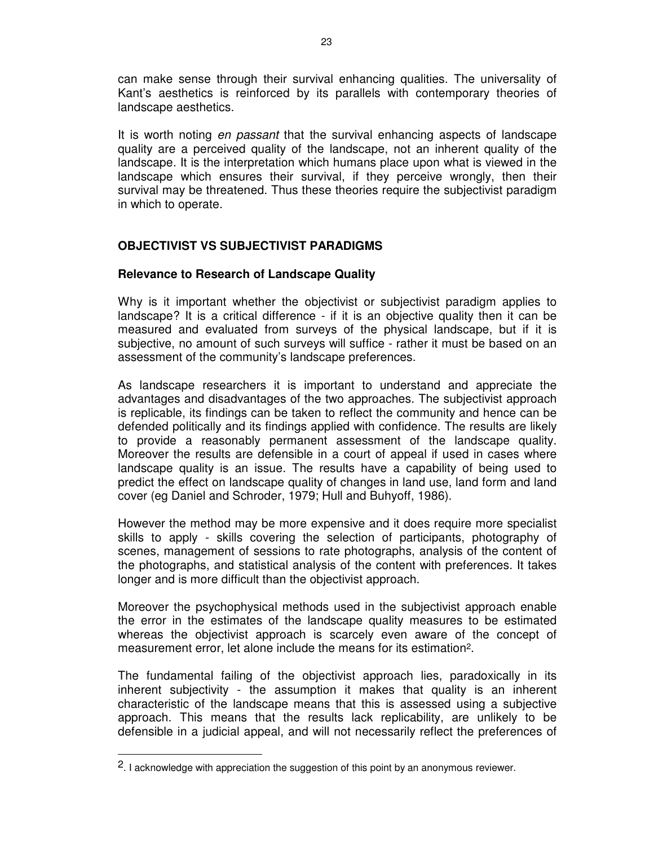can make sense through their survival enhancing qualities. The universality of Kant's aesthetics is reinforced by its parallels with contemporary theories of landscape aesthetics.

It is worth noting *en passant* that the survival enhancing aspects of landscape quality are a perceived quality of the landscape, not an inherent quality of the landscape. It is the interpretation which humans place upon what is viewed in the landscape which ensures their survival, if they perceive wrongly, then their survival may be threatened. Thus these theories require the subjectivist paradigm in which to operate.

# **OBJECTIVIST VS SUBJECTIVIST PARADIGMS**

## **Relevance to Research of Landscape Quality**

Why is it important whether the objectivist or subjectivist paradigm applies to landscape? It is a critical difference - if it is an objective quality then it can be measured and evaluated from surveys of the physical landscape, but if it is subjective, no amount of such surveys will suffice - rather it must be based on an assessment of the community's landscape preferences.

As landscape researchers it is important to understand and appreciate the advantages and disadvantages of the two approaches. The subjectivist approach is replicable, its findings can be taken to reflect the community and hence can be defended politically and its findings applied with confidence. The results are likely to provide a reasonably permanent assessment of the landscape quality. Moreover the results are defensible in a court of appeal if used in cases where landscape quality is an issue. The results have a capability of being used to predict the effect on landscape quality of changes in land use, land form and land cover (eg Daniel and Schroder, 1979; Hull and Buhyoff, 1986).

However the method may be more expensive and it does require more specialist skills to apply - skills covering the selection of participants, photography of scenes, management of sessions to rate photographs, analysis of the content of the photographs, and statistical analysis of the content with preferences. It takes longer and is more difficult than the objectivist approach.

Moreover the psychophysical methods used in the subjectivist approach enable the error in the estimates of the landscape quality measures to be estimated whereas the objectivist approach is scarcely even aware of the concept of measurement error, let alone include the means for its estimation2.

The fundamental failing of the objectivist approach lies, paradoxically in its inherent subjectivity - the assumption it makes that quality is an inherent characteristic of the landscape means that this is assessed using a subjective approach. This means that the results lack replicability, are unlikely to be defensible in a judicial appeal, and will not necessarily reflect the preferences of

 $\overline{a}$ 

<sup>2.</sup> I acknowledge with appreciation the suggestion of this point by an anonymous reviewer.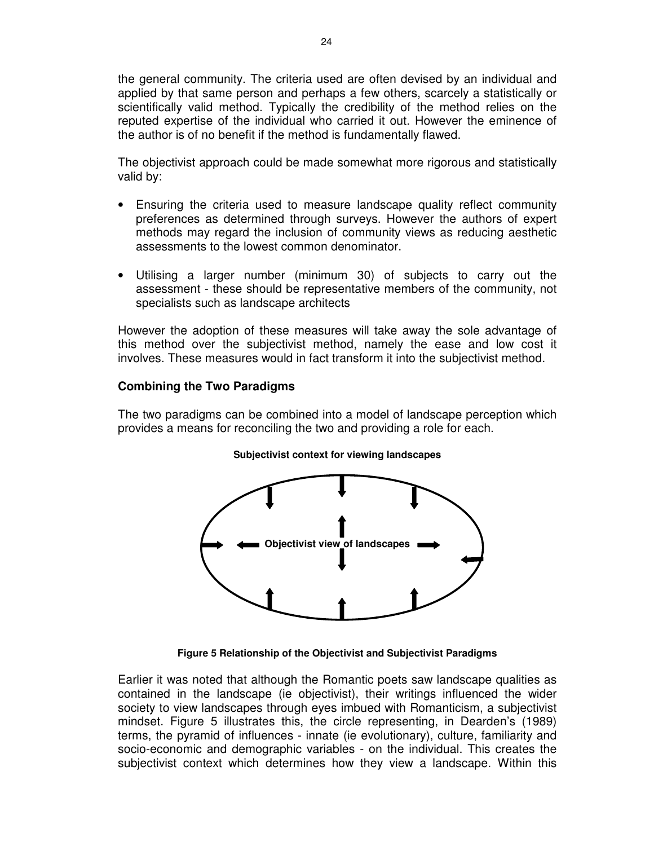the general community. The criteria used are often devised by an individual and applied by that same person and perhaps a few others, scarcely a statistically or scientifically valid method. Typically the credibility of the method relies on the reputed expertise of the individual who carried it out. However the eminence of the author is of no benefit if the method is fundamentally flawed.

The objectivist approach could be made somewhat more rigorous and statistically valid by:

- Ensuring the criteria used to measure landscape quality reflect community preferences as determined through surveys. However the authors of expert methods may regard the inclusion of community views as reducing aesthetic assessments to the lowest common denominator.
- Utilising a larger number (minimum 30) of subjects to carry out the assessment - these should be representative members of the community, not specialists such as landscape architects

However the adoption of these measures will take away the sole advantage of this method over the subjectivist method, namely the ease and low cost it involves. These measures would in fact transform it into the subjectivist method.

## **Combining the Two Paradigms**

The two paradigms can be combined into a model of landscape perception which provides a means for reconciling the two and providing a role for each.

#### **Subjectivist context for viewing landscapes**



**Figure 5 Relationship of the Objectivist and Subjectivist Paradigms** 

Earlier it was noted that although the Romantic poets saw landscape qualities as contained in the landscape (ie objectivist), their writings influenced the wider society to view landscapes through eyes imbued with Romanticism, a subjectivist mindset. Figure 5 illustrates this, the circle representing, in Dearden's (1989) terms, the pyramid of influences - innate (ie evolutionary), culture, familiarity and socio-economic and demographic variables - on the individual. This creates the subjectivist context which determines how they view a landscape. Within this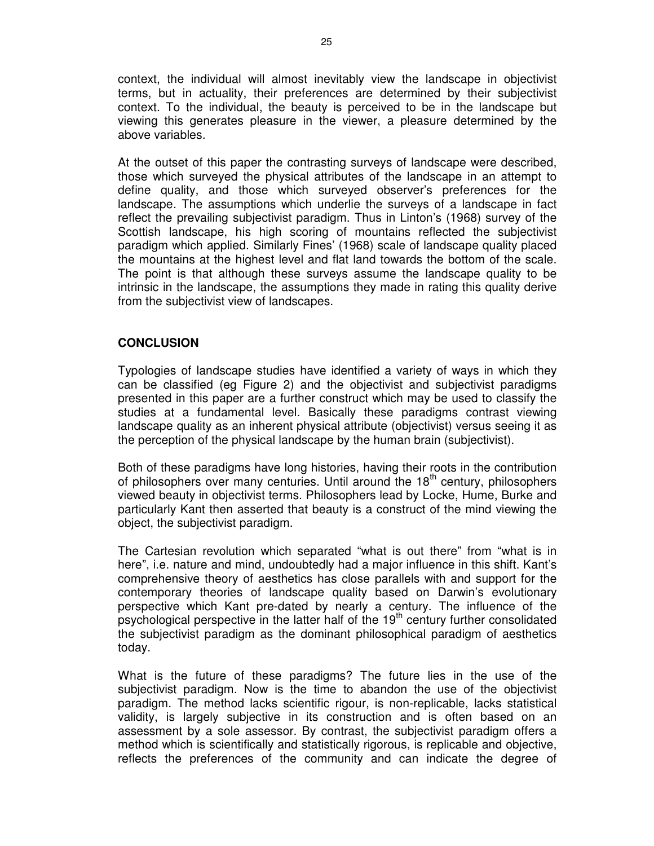context, the individual will almost inevitably view the landscape in objectivist terms, but in actuality, their preferences are determined by their subjectivist context. To the individual, the beauty is perceived to be in the landscape but viewing this generates pleasure in the viewer, a pleasure determined by the above variables.

At the outset of this paper the contrasting surveys of landscape were described, those which surveyed the physical attributes of the landscape in an attempt to define quality, and those which surveyed observer's preferences for the landscape. The assumptions which underlie the surveys of a landscape in fact reflect the prevailing subjectivist paradigm. Thus in Linton's (1968) survey of the Scottish landscape, his high scoring of mountains reflected the subjectivist paradigm which applied. Similarly Fines' (1968) scale of landscape quality placed the mountains at the highest level and flat land towards the bottom of the scale. The point is that although these surveys assume the landscape quality to be intrinsic in the landscape, the assumptions they made in rating this quality derive from the subjectivist view of landscapes.

## **CONCLUSION**

Typologies of landscape studies have identified a variety of ways in which they can be classified (eg Figure 2) and the objectivist and subjectivist paradigms presented in this paper are a further construct which may be used to classify the studies at a fundamental level. Basically these paradigms contrast viewing landscape quality as an inherent physical attribute (objectivist) versus seeing it as the perception of the physical landscape by the human brain (subjectivist).

Both of these paradigms have long histories, having their roots in the contribution of philosophers over many centuries. Until around the 18<sup>th</sup> century, philosophers viewed beauty in objectivist terms. Philosophers lead by Locke, Hume, Burke and particularly Kant then asserted that beauty is a construct of the mind viewing the object, the subjectivist paradigm.

The Cartesian revolution which separated "what is out there" from "what is in here", i.e. nature and mind, undoubtedly had a major influence in this shift. Kant's comprehensive theory of aesthetics has close parallels with and support for the contemporary theories of landscape quality based on Darwin's evolutionary perspective which Kant pre-dated by nearly a century. The influence of the psychological perspective in the latter half of the  $19<sup>th</sup>$  century further consolidated the subjectivist paradigm as the dominant philosophical paradigm of aesthetics today.

What is the future of these paradigms? The future lies in the use of the subjectivist paradigm. Now is the time to abandon the use of the objectivist paradigm. The method lacks scientific rigour, is non-replicable, lacks statistical validity, is largely subjective in its construction and is often based on an assessment by a sole assessor. By contrast, the subjectivist paradigm offers a method which is scientifically and statistically rigorous, is replicable and objective, reflects the preferences of the community and can indicate the degree of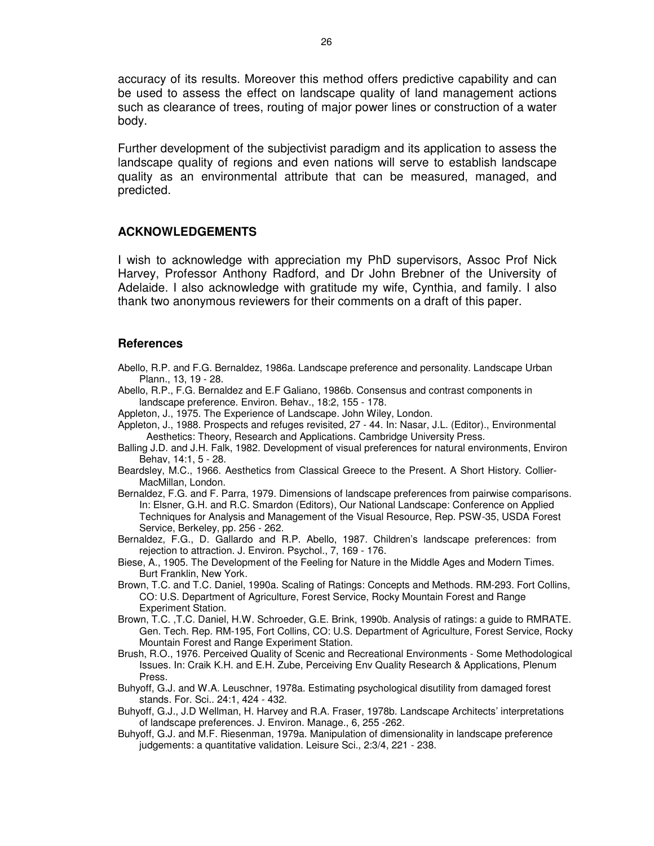accuracy of its results. Moreover this method offers predictive capability and can be used to assess the effect on landscape quality of land management actions such as clearance of trees, routing of major power lines or construction of a water body.

Further development of the subjectivist paradigm and its application to assess the landscape quality of regions and even nations will serve to establish landscape quality as an environmental attribute that can be measured, managed, and predicted.

#### **ACKNOWLEDGEMENTS**

I wish to acknowledge with appreciation my PhD supervisors, Assoc Prof Nick Harvey, Professor Anthony Radford, and Dr John Brebner of the University of Adelaide. I also acknowledge with gratitude my wife, Cynthia, and family. I also thank two anonymous reviewers for their comments on a draft of this paper.

#### **References**

- Abello, R.P. and F.G. Bernaldez, 1986a. Landscape preference and personality. Landscape Urban Plann., 13, 19 - 28.
- Abello, R.P., F.G. Bernaldez and E.F Galiano, 1986b. Consensus and contrast components in landscape preference. Environ. Behav., 18:2, 155 - 178.
- Appleton, J., 1975. The Experience of Landscape. John Wiley, London.
- Appleton, J., 1988. Prospects and refuges revisited, 27 44. In: Nasar, J.L. (Editor)., Environmental Aesthetics: Theory, Research and Applications. Cambridge University Press.
- Balling J.D. and J.H. Falk, 1982. Development of visual preferences for natural environments, Environ Behav, 14:1, 5 - 28.
- Beardsley, M.C., 1966. Aesthetics from Classical Greece to the Present. A Short History. Collier-MacMillan, London.
- Bernaldez, F.G. and F. Parra, 1979. Dimensions of landscape preferences from pairwise comparisons. In: Elsner, G.H. and R.C. Smardon (Editors), Our National Landscape: Conference on Applied Techniques for Analysis and Management of the Visual Resource, Rep. PSW-35, USDA Forest Service, Berkeley, pp. 256 - 262.
- Bernaldez, F.G., D. Gallardo and R.P. Abello, 1987. Children's landscape preferences: from rejection to attraction. J. Environ. Psychol., 7, 169 - 176.
- Biese, A., 1905. The Development of the Feeling for Nature in the Middle Ages and Modern Times. Burt Franklin, New York.
- Brown, T.C. and T.C. Daniel, 1990a. Scaling of Ratings: Concepts and Methods. RM-293. Fort Collins, CO: U.S. Department of Agriculture, Forest Service, Rocky Mountain Forest and Range Experiment Station.
- Brown, T.C. ,T.C. Daniel, H.W. Schroeder, G.E. Brink, 1990b. Analysis of ratings: a guide to RMRATE. Gen. Tech. Rep. RM-195, Fort Collins, CO: U.S. Department of Agriculture, Forest Service, Rocky Mountain Forest and Range Experiment Station.
- Brush, R.O., 1976. Perceived Quality of Scenic and Recreational Environments Some Methodological Issues. In: Craik K.H. and E.H. Zube, Perceiving Env Quality Research & Applications, Plenum Press.
- Buhyoff, G.J. and W.A. Leuschner, 1978a. Estimating psychological disutility from damaged forest stands. For. Sci.. 24:1, 424 - 432.
- Buhyoff, G.J., J.D Wellman, H. Harvey and R.A. Fraser, 1978b. Landscape Architects' interpretations of landscape preferences. J. Environ. Manage., 6, 255 -262.
- Buhyoff, G.J. and M.F. Riesenman, 1979a. Manipulation of dimensionality in landscape preference judgements: a quantitative validation. Leisure Sci., 2:3/4, 221 - 238.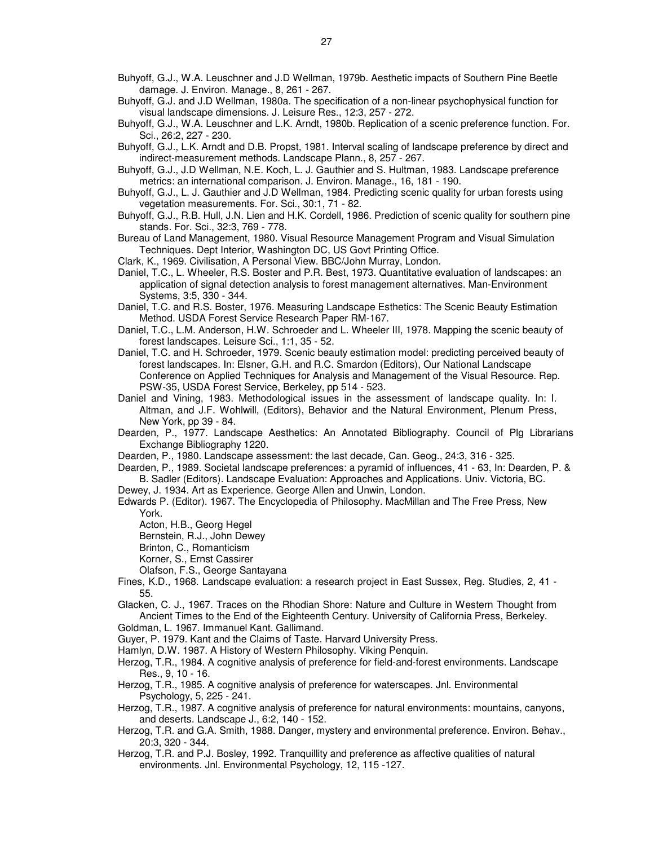- Buhyoff, G.J., W.A. Leuschner and J.D Wellman, 1979b. Aesthetic impacts of Southern Pine Beetle damage. J. Environ. Manage., 8, 261 - 267.
- Buhyoff, G.J. and J.D Wellman, 1980a. The specification of a non-linear psychophysical function for visual landscape dimensions. J. Leisure Res., 12:3, 257 - 272.
- Buhyoff, G.J., W.A. Leuschner and L.K. Arndt, 1980b. Replication of a scenic preference function. For. Sci., 26:2, 227 - 230.
- Buhyoff, G.J., L.K. Arndt and D.B. Propst, 1981. Interval scaling of landscape preference by direct and indirect-measurement methods. Landscape Plann., 8, 257 - 267.
- Buhyoff, G.J., J.D Wellman, N.E. Koch, L. J. Gauthier and S. Hultman, 1983. Landscape preference metrics: an international comparison. J. Environ. Manage., 16, 181 - 190.
- Buhyoff, G.J., L. J. Gauthier and J.D Wellman, 1984. Predicting scenic quality for urban forests using vegetation measurements. For. Sci., 30:1, 71 - 82.
- Buhyoff, G.J., R.B. Hull, J.N. Lien and H.K. Cordell, 1986. Prediction of scenic quality for southern pine stands. For. Sci., 32:3, 769 - 778.
- Bureau of Land Management, 1980. Visual Resource Management Program and Visual Simulation Techniques. Dept Interior, Washington DC, US Govt Printing Office.
- Clark, K., 1969. Civilisation, A Personal View. BBC/John Murray, London.
- Daniel, T.C., L. Wheeler, R.S. Boster and P.R. Best, 1973. Quantitative evaluation of landscapes: an application of signal detection analysis to forest management alternatives. Man-Environment Systems, 3:5, 330 - 344.
- Daniel, T.C. and R.S. Boster, 1976. Measuring Landscape Esthetics: The Scenic Beauty Estimation Method. USDA Forest Service Research Paper RM-167.
- Daniel, T.C., L.M. Anderson, H.W. Schroeder and L. Wheeler III, 1978. Mapping the scenic beauty of forest landscapes. Leisure Sci., 1:1, 35 - 52.
- Daniel, T.C. and H. Schroeder, 1979. Scenic beauty estimation model: predicting perceived beauty of forest landscapes. In: Elsner, G.H. and R.C. Smardon (Editors), Our National Landscape Conference on Applied Techniques for Analysis and Management of the Visual Resource. Rep. PSW-35, USDA Forest Service, Berkeley, pp 514 - 523.
- Daniel and Vining, 1983. Methodological issues in the assessment of landscape quality. In: I. Altman, and J.F. Wohlwill, (Editors), Behavior and the Natural Environment, Plenum Press, New York, pp 39 - 84.
- Dearden, P., 1977. Landscape Aesthetics: An Annotated Bibliography*.* Council of Plg Librarians Exchange Bibliography 1220.
- Dearden, P., 1980. Landscape assessment: the last decade, Can. Geog., 24:3, 316 325.
- Dearden, P., 1989. Societal landscape preferences: a pyramid of influences, 41 63, In: Dearden, P. & B. Sadler (Editors). Landscape Evaluation: Approaches and Applications. Univ. Victoria, BC.
- Dewey, J. 1934. Art as Experience. George Allen and Unwin, London.
- Edwards P. (Editor). 1967. The Encyclopedia of Philosophy. MacMillan and The Free Press, New York.
	- Acton, H.B., Georg Hegel
	- Bernstein, R.J., John Dewey
	- Brinton, C., Romanticism
	- Korner, S., Ernst Cassirer
	- Olafson, F.S., George Santayana
- Fines, K.D., 1968. Landscape evaluation: a research project in East Sussex, Reg. Studies, 2, 41 55.
- Glacken, C. J., 1967. Traces on the Rhodian Shore: Nature and Culture in Western Thought from Ancient Times to the End of the Eighteenth Century. University of California Press, Berkeley.
- Goldman, L. 1967. Immanuel Kant. Gallimand.
- Guyer, P. 1979. Kant and the Claims of Taste. Harvard University Press.
- Hamlyn, D.W. 1987. A History of Western Philosophy. Viking Penquin.
- Herzog, T.R., 1984. A cognitive analysis of preference for field-and-forest environments. Landscape Res., 9, 10 - 16.
- Herzog, T.R., 1985. A cognitive analysis of preference for waterscapes. Jnl. Environmental Psychology, 5, 225 - 241.
- Herzog, T.R., 1987. A cognitive analysis of preference for natural environments: mountains, canyons, and deserts. Landscape J., 6:2, 140 - 152.
- Herzog, T.R. and G.A. Smith, 1988. Danger, mystery and environmental preference. Environ. Behav., 20:3, 320 - 344.
- Herzog, T.R. and P.J. Bosley, 1992. Tranquillity and preference as affective qualities of natural environments. Jnl. Environmental Psychology, 12, 115 -127.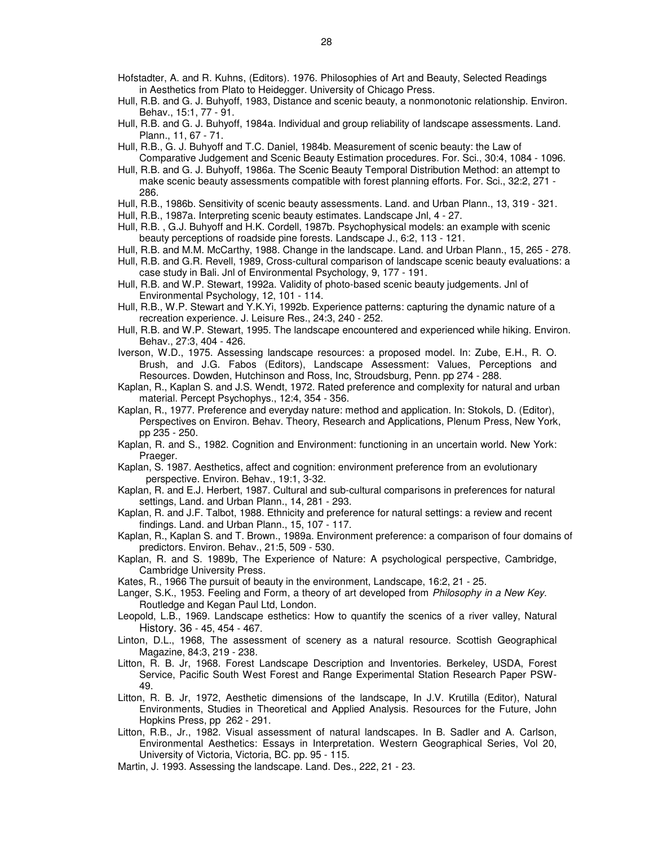- Hofstadter, A. and R. Kuhns, (Editors). 1976. Philosophies of Art and Beauty, Selected Readings in Aesthetics from Plato to Heidegger. University of Chicago Press.
- Hull, R.B. and G. J. Buhyoff, 1983, Distance and scenic beauty, a nonmonotonic relationship. Environ. Behav., 15:1, 77 - 91.
- Hull, R.B. and G. J. Buhyoff, 1984a. Individual and group reliability of landscape assessments. Land. Plann., 11, 67 - 71.
- Hull, R.B., G. J. Buhyoff and T.C. Daniel, 1984b. Measurement of scenic beauty: the Law of Comparative Judgement and Scenic Beauty Estimation procedures. For. Sci., 30:4, 1084 - 1096.
- Hull, R.B. and G. J. Buhyoff, 1986a. The Scenic Beauty Temporal Distribution Method: an attempt to make scenic beauty assessments compatible with forest planning efforts. For. Sci., 32:2, 271 - 286.
- Hull, R.B., 1986b. Sensitivity of scenic beauty assessments. Land. and Urban Plann., 13, 319 321.
- Hull, R.B., 1987a. Interpreting scenic beauty estimates. Landscape Jnl, 4 27.
- Hull, R.B. , G.J. Buhyoff and H.K. Cordell, 1987b. Psychophysical models: an example with scenic beauty perceptions of roadside pine forests. Landscape J., 6:2, 113 - 121.
- Hull, R.B. and M.M. McCarthy, 1988. Change in the landscape. Land. and Urban Plann., 15, 265 278.
- Hull, R.B. and G.R. Revell, 1989, Cross-cultural comparison of landscape scenic beauty evaluations: a case study in Bali. Jnl of Environmental Psychology, 9, 177 - 191.
- Hull, R.B. and W.P. Stewart, 1992a. Validity of photo-based scenic beauty judgements. Jnl of Environmental Psychology, 12, 101 - 114.
- Hull, R.B., W.P. Stewart and Y.K.Yi, 1992b. Experience patterns: capturing the dynamic nature of a recreation experience. J. Leisure Res., 24:3, 240 - 252.
- Hull, R.B. and W.P. Stewart, 1995. The landscape encountered and experienced while hiking. Environ. Behav., 27:3, 404 - 426.
- Iverson, W.D., 1975. Assessing landscape resources: a proposed model. In: Zube, E.H., R. O. Brush, and J.G. Fabos (Editors), Landscape Assessment: Values, Perceptions and Resources. Dowden, Hutchinson and Ross, Inc, Stroudsburg, Penn. pp 274 - 288.
- Kaplan, R., Kaplan S. and J.S. Wendt, 1972. Rated preference and complexity for natural and urban material. Percept Psychophys., 12:4, 354 - 356.
- Kaplan, R., 1977. Preference and everyday nature: method and application. In: Stokols, D. (Editor), Perspectives on Environ. Behav. Theory, Research and Applications, Plenum Press, New York, pp 235 - 250.
- Kaplan, R. and S., 1982. Cognition and Environment: functioning in an uncertain world. New York: Praeger.
- Kaplan, S. 1987. Aesthetics, affect and cognition: environment preference from an evolutionary perspective. Environ. Behav., 19:1, 3-32.
- Kaplan, R. and E.J. Herbert, 1987. Cultural and sub-cultural comparisons in preferences for natural settings, Land. and Urban Plann., 14, 281 - 293.
- Kaplan, R. and J.F. Talbot, 1988. Ethnicity and preference for natural settings: a review and recent findings. Land. and Urban Plann., 15, 107 - 117.
- Kaplan, R., Kaplan S. and T. Brown., 1989a. Environment preference: a comparison of four domains of predictors. Environ. Behav., 21:5, 509 - 530.
- Kaplan, R. and S. 1989b, The Experience of Nature: A psychological perspective, Cambridge, Cambridge University Press.
- Kates, R., 1966 The pursuit of beauty in the environment, Landscape, 16:2, 21 25.
- Langer, S.K., 1953. Feeling and Form, a theory of art developed from *Philosophy in a New Key*. Routledge and Kegan Paul Ltd, London.
- Leopold, L.B., 1969. Landscape esthetics: How to quantify the scenics of a river valley, Natural History. 36 - 45, 454 - 467.
- Linton, D.L., 1968, The assessment of scenery as a natural resource. Scottish Geographical Magazine, 84:3, 219 - 238.
- Litton, R. B. Jr, 1968. Forest Landscape Description and Inventories. Berkeley, USDA, Forest Service, Pacific South West Forest and Range Experimental Station Research Paper PSW-49.
- Litton, R. B. Jr, 1972, Aesthetic dimensions of the landscape, In J.V. Krutilla (Editor), Natural Environments, Studies in Theoretical and Applied Analysis. Resources for the Future, John Hopkins Press, pp 262 - 291.
- Litton, R.B., Jr., 1982. Visual assessment of natural landscapes. In B. Sadler and A. Carlson, Environmental Aesthetics: Essays in Interpretation. Western Geographical Series, Vol 20, University of Victoria, Victoria, BC. pp. 95 - 115.
- Martin, J. 1993. Assessing the landscape. Land. Des., 222, 21 23.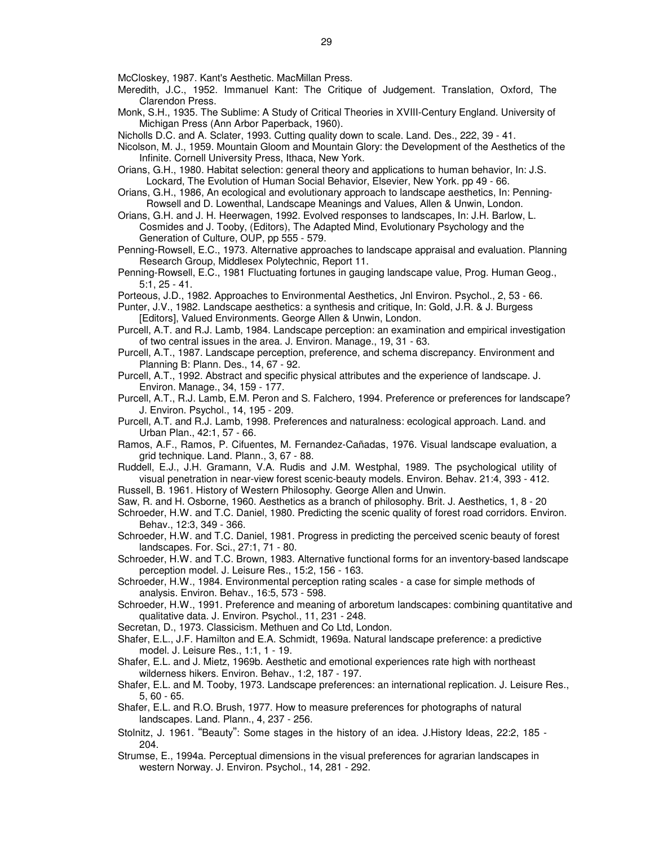McCloskey, 1987. Kant's Aesthetic. MacMillan Press.

- Meredith, J.C., 1952. Immanuel Kant: The Critique of Judgement. Translation, Oxford, The Clarendon Press.
- Monk, S.H., 1935. The Sublime: A Study of Critical Theories in XVIII-Century England. University of Michigan Press (Ann Arbor Paperback, 1960).
- Nicholls D.C. and A. Sclater, 1993. Cutting quality down to scale. Land. Des., 222, 39 41.
- Nicolson, M. J., 1959. Mountain Gloom and Mountain Glory: the Development of the Aesthetics of the Infinite. Cornell University Press, Ithaca, New York.
- Orians, G.H., 1980. Habitat selection: general theory and applications to human behavior, In: J.S. Lockard, The Evolution of Human Social Behavior, Elsevier, New York. pp 49 - 66.
- Orians, G.H., 1986, An ecological and evolutionary approach to landscape aesthetics, In: Penning-Rowsell and D. Lowenthal, Landscape Meanings and Values, Allen & Unwin, London.
- Orians, G.H. and J. H. Heerwagen, 1992. Evolved responses to landscapes, In: J.H. Barlow, L. Cosmides and J. Tooby, (Editors), The Adapted Mind, Evolutionary Psychology and the Generation of Culture, OUP, pp 555 - 579.
- Penning-Rowsell, E.C., 1973. Alternative approaches to landscape appraisal and evaluation. Planning Research Group, Middlesex Polytechnic, Report 11.
- Penning-Rowsell, E.C., 1981 Fluctuating fortunes in gauging landscape value, Prog. Human Geog., 5:1, 25 - 41.
- Porteous, J.D., 1982. Approaches to Environmental Aesthetics, Jnl Environ. Psychol., 2, 53 66.
- Punter, J.V., 1982. Landscape aesthetics: a synthesis and critique, In: Gold, J.R. & J. Burgess [Editors], Valued Environments. George Allen & Unwin, London.
- Purcell, A.T. and R.J. Lamb, 1984. Landscape perception: an examination and empirical investigation of two central issues in the area. J. Environ. Manage., 19, 31 - 63.
- Purcell, A.T., 1987. Landscape perception, preference, and schema discrepancy. Environment and Planning B: Plann. Des., 14, 67 - 92.
- Purcell, A.T., 1992. Abstract and specific physical attributes and the experience of landscape. J. Environ. Manage., 34, 159 - 177.
- Purcell, A.T., R.J. Lamb, E.M. Peron and S. Falchero, 1994. Preference or preferences for landscape? J. Environ. Psychol., 14, 195 - 209.
- Purcell, A.T. and R.J. Lamb, 1998. Preferences and naturalness: ecological approach. Land. and Urban Plan., 42:1, 57 - 66.
- Ramos, A.F., Ramos, P. Cifuentes, M. Fernandez-Cañadas, 1976. Visual landscape evaluation, a grid technique. Land. Plann., 3, 67 - 88.
- Ruddell, E.J., J.H. Gramann, V.A. Rudis and J.M. Westphal, 1989. The psychological utility of visual penetration in near-view forest scenic-beauty models. Environ. Behav. 21:4, 393 - 412.
- Russell, B. 1961. History of Western Philosophy. George Allen and Unwin.
- Saw, R. and H. Osborne, 1960. Aesthetics as a branch of philosophy. Brit. J. Aesthetics, 1, 8 20
- Schroeder, H.W. and T.C. Daniel, 1980. Predicting the scenic quality of forest road corridors. Environ. Behav., 12:3, 349 - 366.
- Schroeder, H.W. and T.C. Daniel, 1981. Progress in predicting the perceived scenic beauty of forest landscapes. For. Sci., 27:1, 71 - 80.
- Schroeder, H.W. and T.C. Brown, 1983. Alternative functional forms for an inventory-based landscape perception model. J. Leisure Res., 15:2, 156 - 163.
- Schroeder, H.W., 1984. Environmental perception rating scales a case for simple methods of analysis. Environ. Behav., 16:5, 573 - 598.
- Schroeder, H.W., 1991. Preference and meaning of arboretum landscapes: combining quantitative and qualitative data. J. Environ. Psychol., 11, 231 - 248.
- Secretan, D., 1973. Classicism. Methuen and Co Ltd, London.
- Shafer, E.L., J.F. Hamilton and E.A. Schmidt, 1969a. Natural landscape preference: a predictive model. J. Leisure Res., 1:1, 1 - 19.
- Shafer, E.L. and J. Mietz, 1969b. Aesthetic and emotional experiences rate high with northeast wilderness hikers. Environ. Behav., 1:2, 187 - 197.
- Shafer, E.L. and M. Tooby, 1973. Landscape preferences: an international replication. J. Leisure Res., 5, 60 - 65.
- Shafer, E.L. and R.O. Brush, 1977. How to measure preferences for photographs of natural landscapes. Land. Plann., 4, 237 - 256.
- Stolnitz, J. 1961. "Beauty": Some stages in the history of an idea. J.History Ideas, 22:2, 185 204.
- Strumse, E., 1994a. Perceptual dimensions in the visual preferences for agrarian landscapes in western Norway. J. Environ. Psychol., 14, 281 - 292.